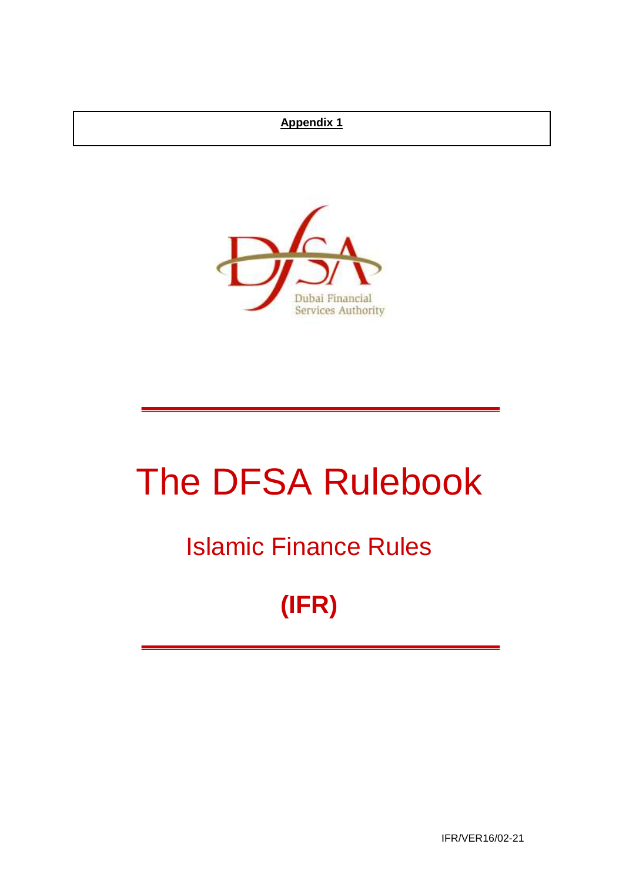## **Appendix 1**



# The DFSA Rulebook

## Islamic Finance Rules

## **(IFR)**

IFR/VER16/02-21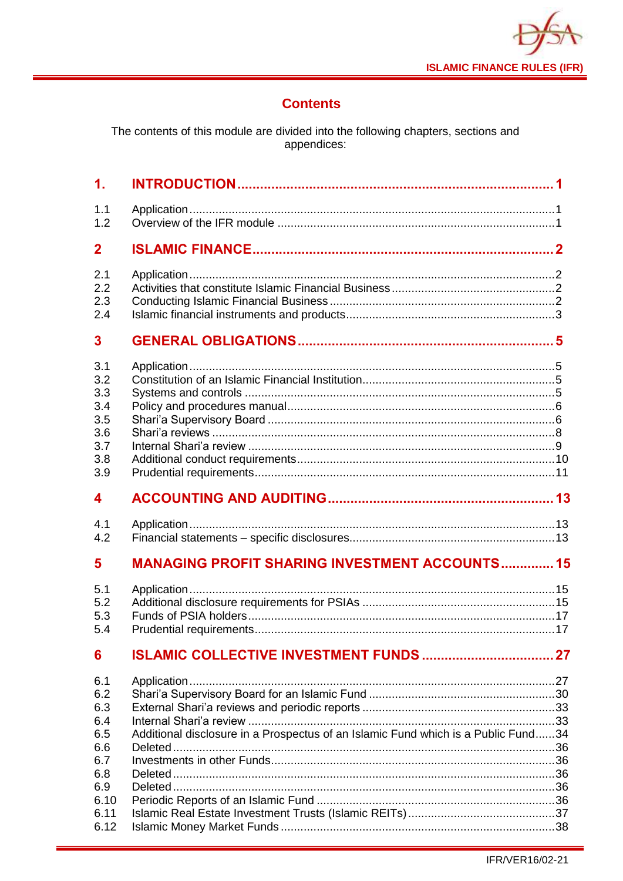

## **Contents**

The contents of this module are divided into the following chapters, sections and<br>appendices:

| $\mathbf 1$ .                                               |                                                       |  |
|-------------------------------------------------------------|-------------------------------------------------------|--|
| 1.1<br>1.2                                                  |                                                       |  |
| $\mathbf 2$                                                 |                                                       |  |
| 2.1<br>2.2<br>2.3<br>2.4                                    |                                                       |  |
| 3                                                           |                                                       |  |
| 3.1<br>3.2<br>3.3<br>3.4<br>3.5<br>3.6<br>3.7<br>3.8<br>3.9 |                                                       |  |
| 4                                                           |                                                       |  |
|                                                             |                                                       |  |
| 4.1<br>4.2                                                  |                                                       |  |
| 5                                                           | <b>MANAGING PROFIT SHARING INVESTMENT ACCOUNTS 15</b> |  |
| 5.1<br>5.2<br>5.3<br>5.4                                    |                                                       |  |
| 6                                                           | <b>ISLAMIC COLLECTIVE INVESTMENT FUNDS  27</b>        |  |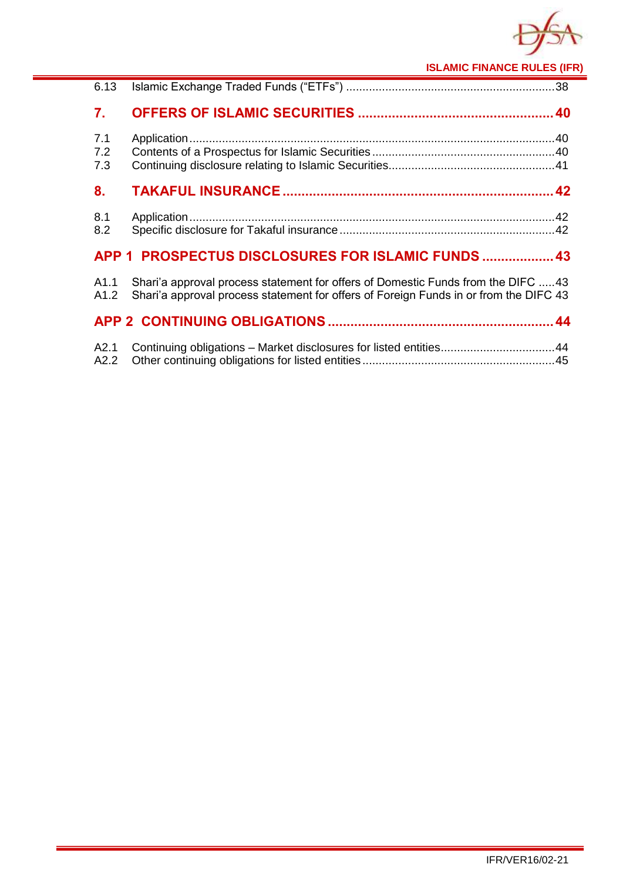

**ISLAMIC FINANCE RULES (IFR)**

| 6.13              |                                                                                                                                                                           |  |
|-------------------|---------------------------------------------------------------------------------------------------------------------------------------------------------------------------|--|
| 7.                |                                                                                                                                                                           |  |
| 7.1<br>7.2<br>7.3 |                                                                                                                                                                           |  |
| 8.                |                                                                                                                                                                           |  |
| 8.1<br>8.2        |                                                                                                                                                                           |  |
|                   | APP 1 PROSPECTUS DISCLOSURES FOR ISLAMIC FUNDS  43                                                                                                                        |  |
| A1.1<br>A1.2      | Shari'a approval process statement for offers of Domestic Funds from the DIFC 43<br>Shari'a approval process statement for offers of Foreign Funds in or from the DIFC 43 |  |
|                   |                                                                                                                                                                           |  |
| A2.1<br>A2.2      | Continuing obligations - Market disclosures for listed entities44                                                                                                         |  |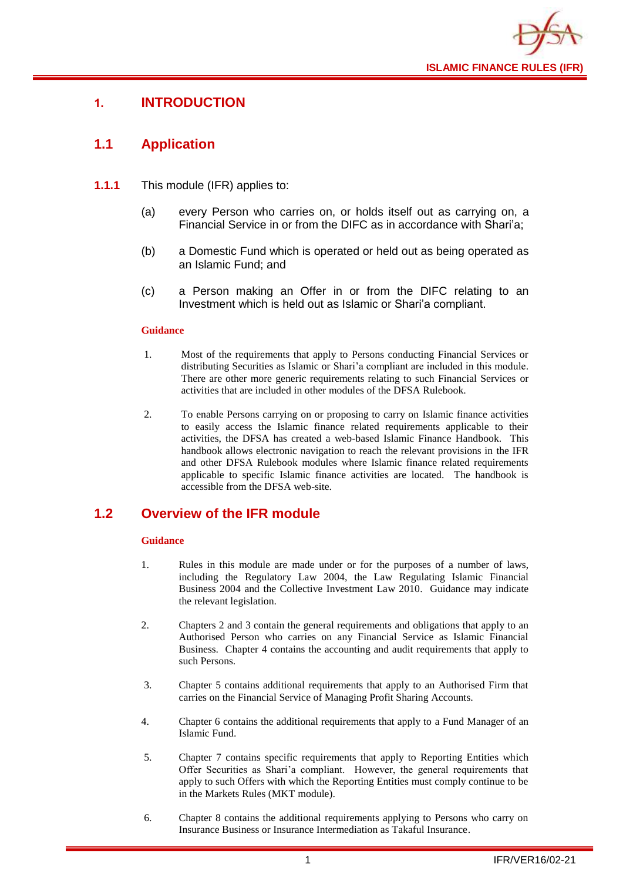

## <span id="page-3-0"></span>**1. INTRODUCTION**

## <span id="page-3-1"></span>**1.1 Application**

- **1.1.1** This module (IFR) applies to:
	- (a) every Person who carries on, or holds itself out as carrying on, a Financial Service in or from the DIFC as in accordance with Shari'a;
	- (b) a Domestic Fund which is operated or held out as being operated as an Islamic Fund; and
	- (c) a Person making an Offer in or from the DIFC relating to an Investment which is held out as Islamic or Shari'a compliant.

#### **Guidance**

- 1. Most of the requirements that apply to Persons conducting Financial Services or distributing Securities as Islamic or Shari'a compliant are included in this module. There are other more generic requirements relating to such Financial Services or activities that are included in other modules of the DFSA Rulebook.
- 2. To enable Persons carrying on or proposing to carry on Islamic finance activities to easily access the Islamic finance related requirements applicable to their activities, the DFSA has created a web-based Islamic Finance Handbook. This handbook allows electronic navigation to reach the relevant provisions in the IFR and other DFSA Rulebook modules where Islamic finance related requirements applicable to specific Islamic finance activities are located. The handbook is accessible from the DFSA web-site.

## <span id="page-3-2"></span>**1.2 Overview of the IFR module**

- 1. Rules in this module are made under or for the purposes of a number of laws, including the Regulatory Law 2004, the Law Regulating Islamic Financial Business 2004 and the Collective Investment Law 2010. Guidance may indicate the relevant legislation.
- 2. Chapters 2 and 3 contain the general requirements and obligations that apply to an Authorised Person who carries on any Financial Service as Islamic Financial Business. Chapter 4 contains the accounting and audit requirements that apply to such Persons.
- 3. Chapter 5 contains additional requirements that apply to an Authorised Firm that carries on the Financial Service of Managing Profit Sharing Accounts.
- 4. Chapter 6 contains the additional requirements that apply to a Fund Manager of an Islamic Fund.
- 5. Chapter 7 contains specific requirements that apply to Reporting Entities which Offer Securities as Shari'a compliant. However, the general requirements that apply to such Offers with which the Reporting Entities must comply continue to be in the Markets Rules (MKT module).
- 6. Chapter 8 contains the additional requirements applying to Persons who carry on Insurance Business or Insurance Intermediation as Takaful Insurance.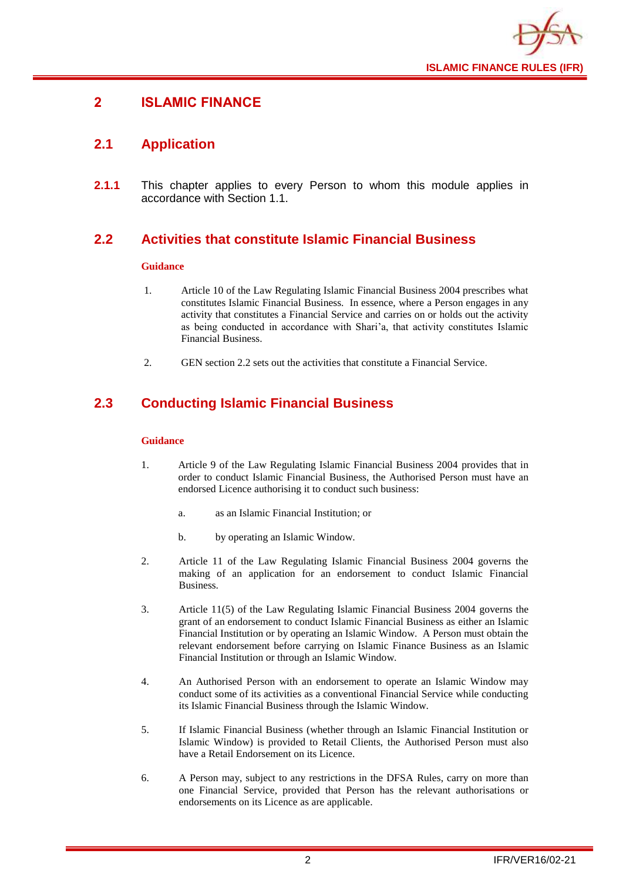

## <span id="page-4-0"></span>**2 ISLAMIC FINANCE**

## <span id="page-4-1"></span>**2.1 Application**

**2.1.1** This chapter applies to every Person to whom this module applies in accordance with Section 1.1.

## <span id="page-4-2"></span>**2.2 Activities that constitute Islamic Financial Business**

#### **Guidance**

- 1. Article 10 of the Law Regulating Islamic Financial Business 2004 prescribes what constitutes Islamic Financial Business. In essence, where a Person engages in any activity that constitutes a Financial Service and carries on or holds out the activity as being conducted in accordance with Shari'a, that activity constitutes Islamic Financial Business.
- 2. GEN section 2.2 sets out the activities that constitute a Financial Service.

## <span id="page-4-3"></span>**2.3 Conducting Islamic Financial Business**

- 1. Article 9 of the Law Regulating Islamic Financial Business 2004 provides that in order to conduct Islamic Financial Business, the Authorised Person must have an endorsed Licence authorising it to conduct such business:
	- a. as an Islamic Financial Institution; or
	- b. by operating an Islamic Window.
- 2. Article 11 of the Law Regulating Islamic Financial Business 2004 governs the making of an application for an endorsement to conduct Islamic Financial Business.
- 3. Article 11(5) of the Law Regulating Islamic Financial Business 2004 governs the grant of an endorsement to conduct Islamic Financial Business as either an Islamic Financial Institution or by operating an Islamic Window. A Person must obtain the relevant endorsement before carrying on Islamic Finance Business as an Islamic Financial Institution or through an Islamic Window.
- 4. An Authorised Person with an endorsement to operate an Islamic Window may conduct some of its activities as a conventional Financial Service while conducting its Islamic Financial Business through the Islamic Window.
- 5. If Islamic Financial Business (whether through an Islamic Financial Institution or Islamic Window) is provided to Retail Clients, the Authorised Person must also have a Retail Endorsement on its Licence.
- 6. A Person may, subject to any restrictions in the DFSA Rules, carry on more than one Financial Service, provided that Person has the relevant authorisations or endorsements on its Licence as are applicable.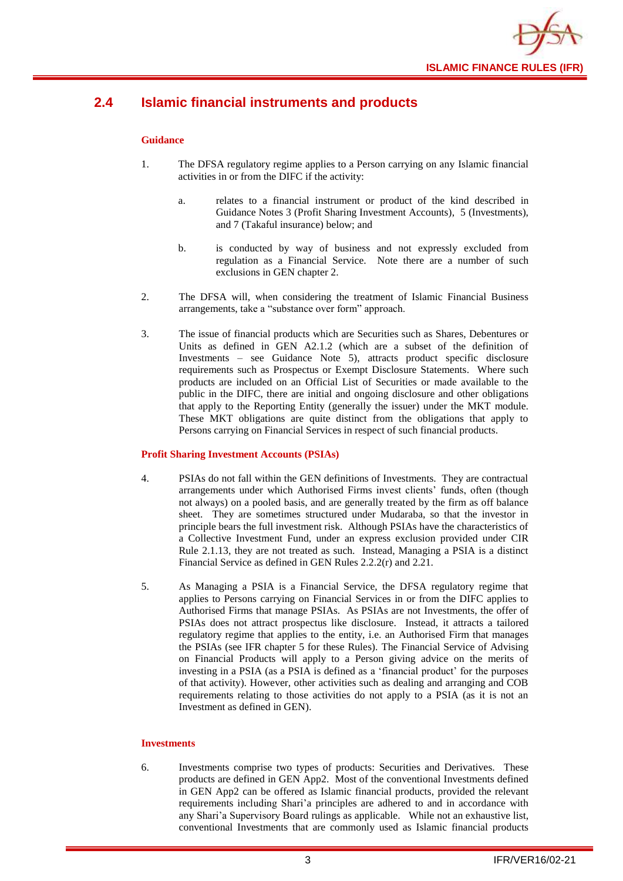

## <span id="page-5-0"></span>**2.4 Islamic financial instruments and products**

#### **Guidance**

- 1. The DFSA regulatory regime applies to a Person carrying on any Islamic financial activities in or from the DIFC if the activity:
	- a. relates to a financial instrument or product of the kind described in Guidance Notes 3 (Profit Sharing Investment Accounts), 5 (Investments), and 7 (Takaful insurance) below; and
	- b. is conducted by way of business and not expressly excluded from regulation as a Financial Service. Note there are a number of such exclusions in GEN chapter 2.
- 2. The DFSA will, when considering the treatment of Islamic Financial Business arrangements, take a "substance over form" approach.
- 3. The issue of financial products which are Securities such as Shares, Debentures or Units as defined in GEN A2.1.2 (which are a subset of the definition of Investments – see Guidance Note 5), attracts product specific disclosure requirements such as Prospectus or Exempt Disclosure Statements. Where such products are included on an Official List of Securities or made available to the public in the DIFC, there are initial and ongoing disclosure and other obligations that apply to the Reporting Entity (generally the issuer) under the MKT module. These MKT obligations are quite distinct from the obligations that apply to Persons carrying on Financial Services in respect of such financial products.

#### **Profit Sharing Investment Accounts (PSIAs)**

- 4. PSIAs do not fall within the GEN definitions of Investments. They are contractual arrangements under which Authorised Firms invest clients' funds, often (though not always) on a pooled basis, and are generally treated by the firm as off balance sheet. They are sometimes structured under Mudaraba, so that the investor in principle bears the full investment risk. Although PSIAs have the characteristics of a Collective Investment Fund, under an express exclusion provided under CIR Rule 2.1.13, they are not treated as such. Instead, Managing a PSIA is a distinct Financial Service as defined in GEN Rules 2.2.2(r) and 2.21.
- 5. As Managing a PSIA is a Financial Service, the DFSA regulatory regime that applies to Persons carrying on Financial Services in or from the DIFC applies to Authorised Firms that manage PSIAs. As PSIAs are not Investments, the offer of PSIAs does not attract prospectus like disclosure. Instead, it attracts a tailored regulatory regime that applies to the entity, i.e. an Authorised Firm that manages the PSIAs (see IFR chapter 5 for these Rules). The Financial Service of Advising on Financial Products will apply to a Person giving advice on the merits of investing in a PSIA (as a PSIA is defined as a 'financial product' for the purposes of that activity). However, other activities such as dealing and arranging and COB requirements relating to those activities do not apply to a PSIA (as it is not an Investment as defined in GEN).

#### **Investments**

6. Investments comprise two types of products: Securities and Derivatives. These products are defined in GEN App2. Most of the conventional Investments defined in GEN App2 can be offered as Islamic financial products, provided the relevant requirements including Shari'a principles are adhered to and in accordance with any Shari'a Supervisory Board rulings as applicable. While not an exhaustive list, conventional Investments that are commonly used as Islamic financial products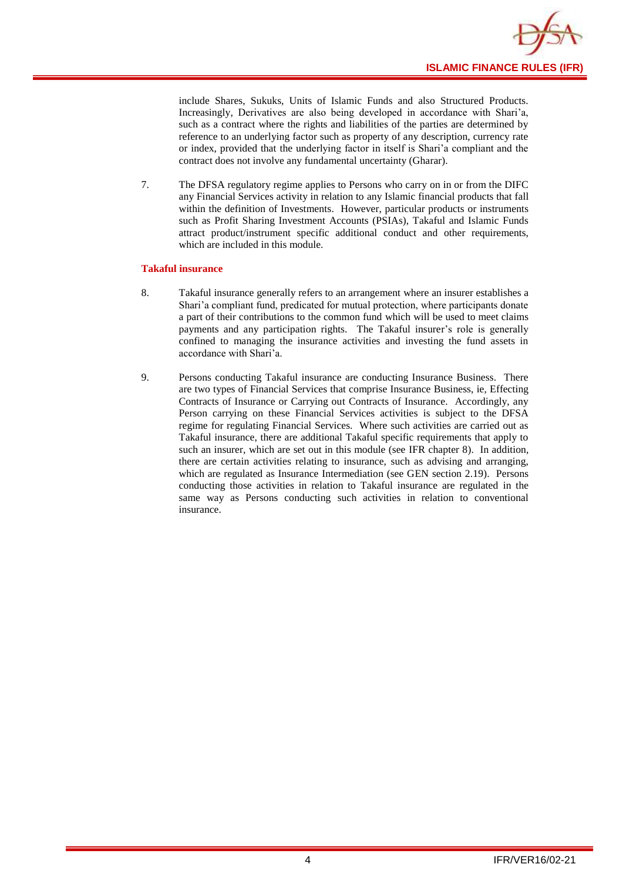

include Shares, Sukuks, Units of Islamic Funds and also Structured Products. Increasingly, Derivatives are also being developed in accordance with Shari'a, such as a contract where the rights and liabilities of the parties are determined by reference to an underlying factor such as property of any description, currency rate or index, provided that the underlying factor in itself is Shari'a compliant and the contract does not involve any fundamental uncertainty (Gharar).

7. The DFSA regulatory regime applies to Persons who carry on in or from the DIFC any Financial Services activity in relation to any Islamic financial products that fall within the definition of Investments. However, particular products or instruments such as Profit Sharing Investment Accounts (PSIAs), Takaful and Islamic Funds attract product/instrument specific additional conduct and other requirements, which are included in this module.

#### **Takaful insurance**

- 8. Takaful insurance generally refers to an arrangement where an insurer establishes a Shari'a compliant fund, predicated for mutual protection, where participants donate a part of their contributions to the common fund which will be used to meet claims payments and any participation rights. The Takaful insurer's role is generally confined to managing the insurance activities and investing the fund assets in accordance with Shari'a.
- 9. Persons conducting Takaful insurance are conducting Insurance Business. There are two types of Financial Services that comprise Insurance Business, ie, Effecting Contracts of Insurance or Carrying out Contracts of Insurance. Accordingly, any Person carrying on these Financial Services activities is subject to the DFSA regime for regulating Financial Services. Where such activities are carried out as Takaful insurance, there are additional Takaful specific requirements that apply to such an insurer, which are set out in this module (see IFR chapter 8). In addition, there are certain activities relating to insurance, such as advising and arranging, which are regulated as Insurance Intermediation (see GEN section 2.19). Persons conducting those activities in relation to Takaful insurance are regulated in the same way as Persons conducting such activities in relation to conventional insurance.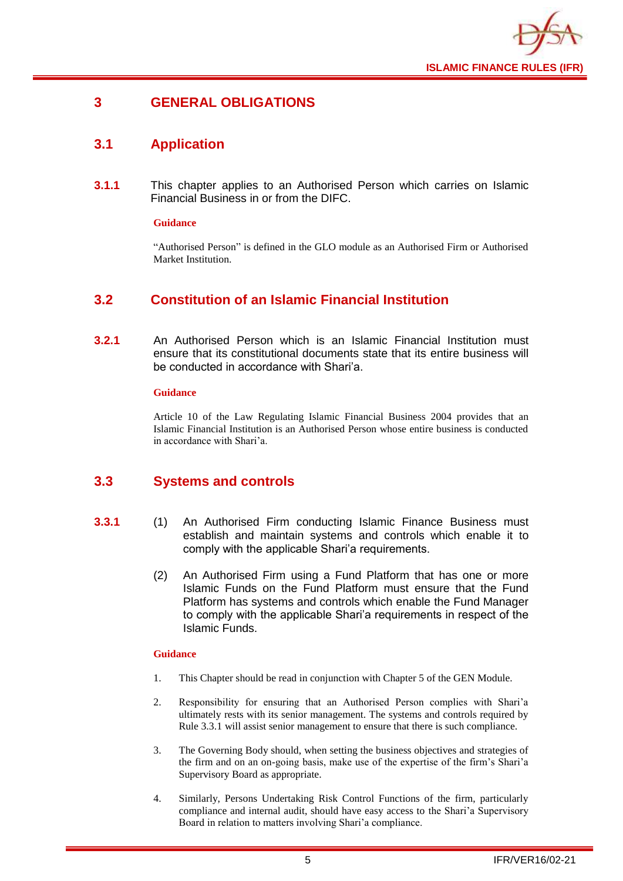

## <span id="page-7-0"></span>**3 GENERAL OBLIGATIONS**

## <span id="page-7-1"></span>**3.1 Application**

**3.1.1** This chapter applies to an Authorised Person which carries on Islamic Financial Business in or from the DIFC.

#### **Guidance**

"Authorised Person" is defined in the GLO module as an Authorised Firm or Authorised Market Institution.

## <span id="page-7-2"></span>**3.2 Constitution of an Islamic Financial Institution**

**3.2.1** An Authorised Person which is an Islamic Financial Institution must ensure that its constitutional documents state that its entire business will be conducted in accordance with Shari'a.

#### **Guidance**

Article 10 of the Law Regulating Islamic Financial Business 2004 provides that an Islamic Financial Institution is an Authorised Person whose entire business is conducted in accordance with Shari'a.

## <span id="page-7-3"></span>**3.3 Systems and controls**

- **3.3.1** (1) An Authorised Firm conducting Islamic Finance Business must establish and maintain systems and controls which enable it to comply with the applicable Shari'a requirements.
	- (2) An Authorised Firm using a Fund Platform that has one or more Islamic Funds on the Fund Platform must ensure that the Fund Platform has systems and controls which enable the Fund Manager to comply with the applicable Shari'a requirements in respect of the Islamic Funds.

- 1. This Chapter should be read in conjunction with Chapter 5 of the GEN Module.
- 2. Responsibility for ensuring that an Authorised Person complies with Shari'a ultimately rests with its senior management. The systems and controls required by Rule 3.3.1 will assist senior management to ensure that there is such compliance.
- 3. The Governing Body should, when setting the business objectives and strategies of the firm and on an on-going basis, make use of the expertise of the firm's Shari'a Supervisory Board as appropriate.
- 4. Similarly, Persons Undertaking Risk Control Functions of the firm, particularly compliance and internal audit, should have easy access to the Shari'a Supervisory Board in relation to matters involving Shari'a compliance.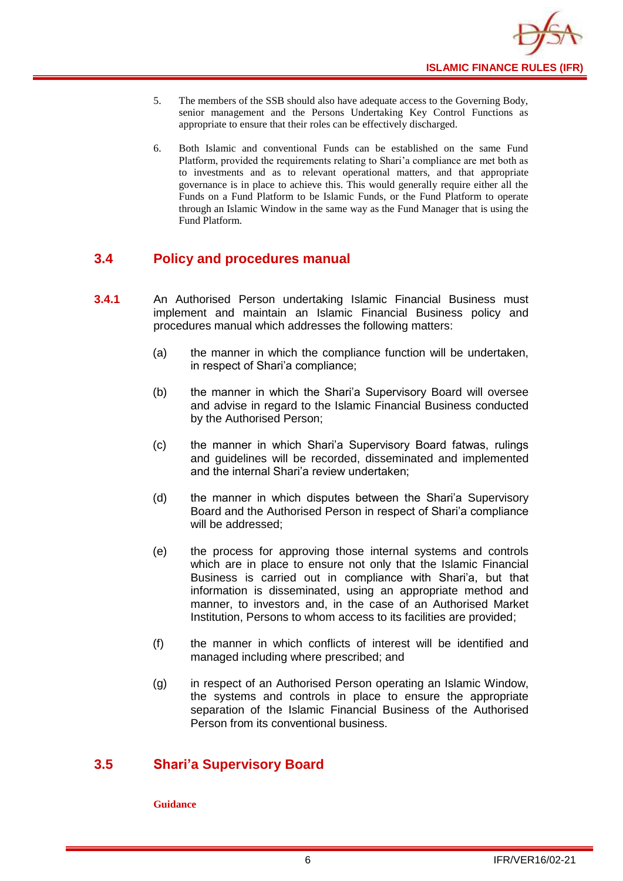

- 5. The members of the SSB should also have adequate access to the Governing Body, senior management and the Persons Undertaking Key Control Functions as appropriate to ensure that their roles can be effectively discharged.
- 6. Both Islamic and conventional Funds can be established on the same Fund Platform, provided the requirements relating to Shari'a compliance are met both as to investments and as to relevant operational matters, and that appropriate governance is in place to achieve this. This would generally require either all the Funds on a Fund Platform to be Islamic Funds, or the Fund Platform to operate through an Islamic Window in the same way as the Fund Manager that is using the Fund Platform.

## <span id="page-8-0"></span>**3.4 Policy and procedures manual**

- **3.4.1** An Authorised Person undertaking Islamic Financial Business must implement and maintain an Islamic Financial Business policy and procedures manual which addresses the following matters:
	- (a) the manner in which the compliance function will be undertaken, in respect of Shari'a compliance;
	- (b) the manner in which the Shari'a Supervisory Board will oversee and advise in regard to the Islamic Financial Business conducted by the Authorised Person;
	- (c) the manner in which Shari'a Supervisory Board fatwas, rulings and guidelines will be recorded, disseminated and implemented and the internal Shari'a review undertaken;
	- (d) the manner in which disputes between the Shari'a Supervisory Board and the Authorised Person in respect of Shari'a compliance will be addressed;
	- (e) the process for approving those internal systems and controls which are in place to ensure not only that the Islamic Financial Business is carried out in compliance with Shari'a, but that information is disseminated, using an appropriate method and manner, to investors and, in the case of an Authorised Market Institution, Persons to whom access to its facilities are provided;
	- (f) the manner in which conflicts of interest will be identified and managed including where prescribed; and
	- (g) in respect of an Authorised Person operating an Islamic Window, the systems and controls in place to ensure the appropriate separation of the Islamic Financial Business of the Authorised Person from its conventional business.

## <span id="page-8-1"></span>**3.5 Shari'a Supervisory Board**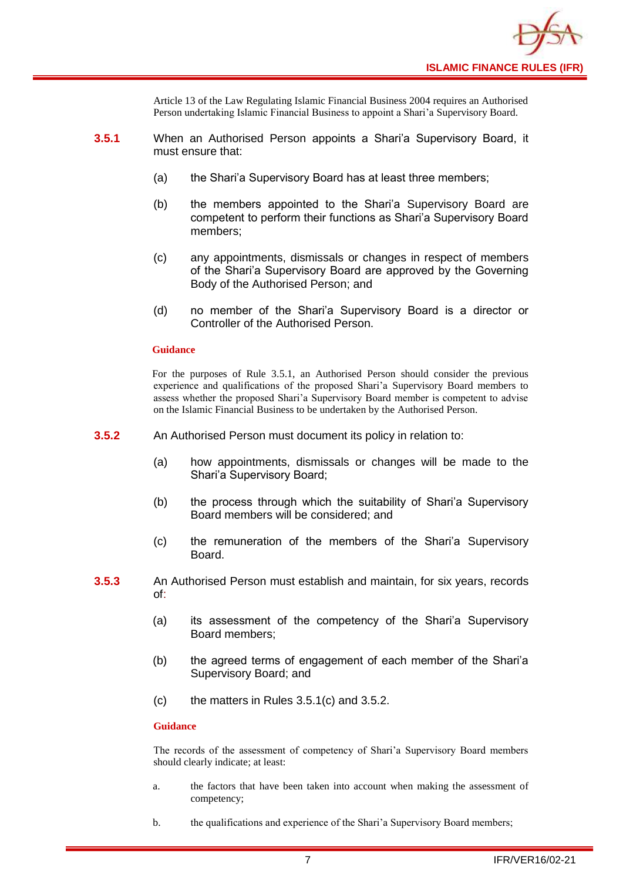

Article 13 of the Law Regulating Islamic Financial Business 2004 requires an Authorised Person undertaking Islamic Financial Business to appoint a Shari'a Supervisory Board.

- **3.5.1** When an Authorised Person appoints a Shari'a Supervisory Board, it must ensure that:
	- (a) the Shari'a Supervisory Board has at least three members;
	- (b) the members appointed to the Shari'a Supervisory Board are competent to perform their functions as Shari'a Supervisory Board members;
	- (c) any appointments, dismissals or changes in respect of members of the Shari'a Supervisory Board are approved by the Governing Body of the Authorised Person; and
	- (d) no member of the Shari'a Supervisory Board is a director or Controller of the Authorised Person.

#### **Guidance**

For the purposes of Rule 3.5.1, an Authorised Person should consider the previous experience and qualifications of the proposed Shari'a Supervisory Board members to assess whether the proposed Shari'a Supervisory Board member is competent to advise on the Islamic Financial Business to be undertaken by the Authorised Person.

- **3.5.2** An Authorised Person must document its policy in relation to:
	- (a) how appointments, dismissals or changes will be made to the Shari'a Supervisory Board;
	- (b) the process through which the suitability of Shari'a Supervisory Board members will be considered; and
	- (c) the remuneration of the members of the Shari'a Supervisory Board.
- **3.5.3** An Authorised Person must establish and maintain, for six years, records of:
	- (a) its assessment of the competency of the Shari'a Supervisory Board members;
	- (b) the agreed terms of engagement of each member of the Shari'a Supervisory Board; and
	- (c) the matters in Rules 3.5.1(c) and 3.5.2.

#### **Guidance**

The records of the assessment of competency of Shari'a Supervisory Board members should clearly indicate; at least:

- a. the factors that have been taken into account when making the assessment of competency;
- b. the qualifications and experience of the Shari'a Supervisory Board members;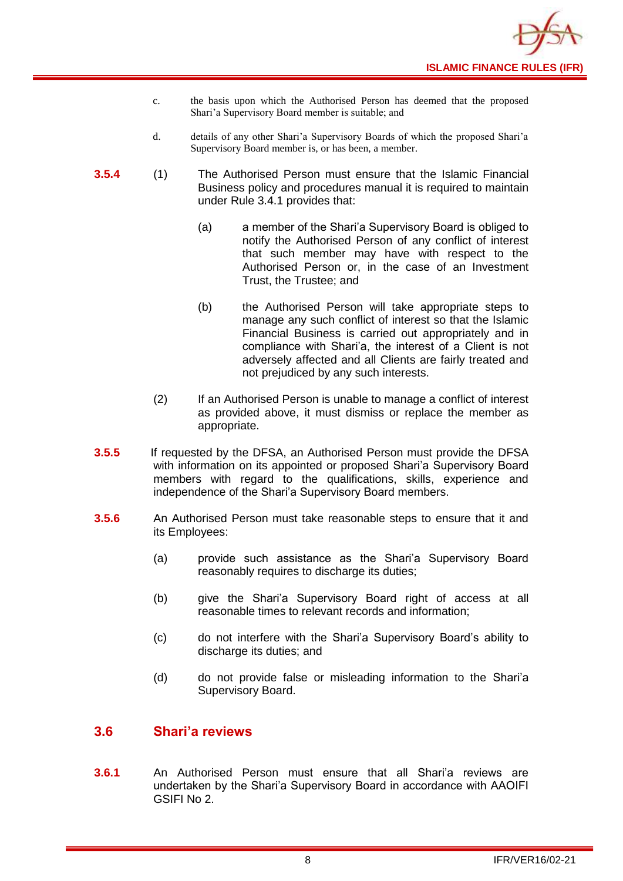- c. the basis upon which the Authorised Person has deemed that the proposed Shari'a Supervisory Board member is suitable; and
- d. details of any other Shari'a Supervisory Boards of which the proposed Shari'a Supervisory Board member is, or has been, a member.
- **3.5.4** (1) The Authorised Person must ensure that the Islamic Financial Business policy and procedures manual it is required to maintain under Rule 3.4.1 provides that:
	- (a) a member of the Shari'a Supervisory Board is obliged to notify the Authorised Person of any conflict of interest that such member may have with respect to the Authorised Person or, in the case of an Investment Trust, the Trustee; and
	- (b) the Authorised Person will take appropriate steps to manage any such conflict of interest so that the Islamic Financial Business is carried out appropriately and in compliance with Shari'a, the interest of a Client is not adversely affected and all Clients are fairly treated and not prejudiced by any such interests.
	- (2) If an Authorised Person is unable to manage a conflict of interest as provided above, it must dismiss or replace the member as appropriate.
- **3.5.5** If requested by the DFSA, an Authorised Person must provide the DFSA with information on its appointed or proposed Shari'a Supervisory Board members with regard to the qualifications, skills, experience and independence of the Shari'a Supervisory Board members.
- **3.5.6** An Authorised Person must take reasonable steps to ensure that it and its Employees:
	- (a) provide such assistance as the Shari'a Supervisory Board reasonably requires to discharge its duties;
	- (b) give the Shari'a Supervisory Board right of access at all reasonable times to relevant records and information;
	- (c) do not interfere with the Shari'a Supervisory Board's ability to discharge its duties; and
	- (d) do not provide false or misleading information to the Shari'a Supervisory Board.

## <span id="page-10-0"></span>**3.6 Shari'a reviews**

**3.6.1** An Authorised Person must ensure that all Shari'a reviews are undertaken by the Shari'a Supervisory Board in accordance with AAOIFI GSIFI No 2.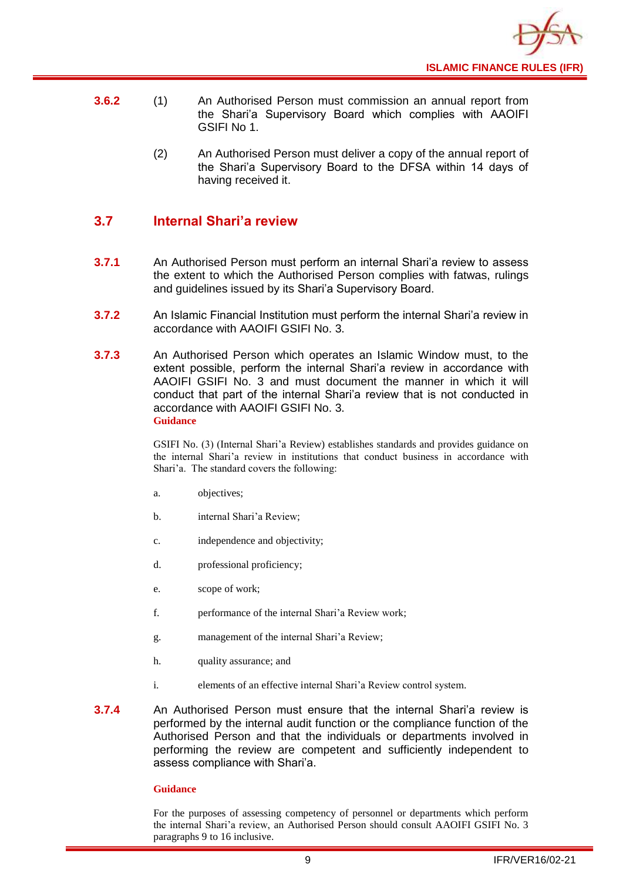

- **3.6.2** (1) An Authorised Person must commission an annual report from the Shari'a Supervisory Board which complies with AAOIFI GSIFI No 1.
	- (2) An Authorised Person must deliver a copy of the annual report of the Shari'a Supervisory Board to the DFSA within 14 days of having received it.

## <span id="page-11-0"></span>**3.7 Internal Shari'a review**

- **3.7.1** An Authorised Person must perform an internal Shari'a review to assess the extent to which the Authorised Person complies with fatwas, rulings and guidelines issued by its Shari'a Supervisory Board.
- **3.7.2** An Islamic Financial Institution must perform the internal Shari'a review in accordance with AAOIFI GSIFI No. 3.
- **3.7.3** An Authorised Person which operates an Islamic Window must, to the extent possible, perform the internal Shari'a review in accordance with AAOIFI GSIFI No. 3 and must document the manner in which it will conduct that part of the internal Shari'a review that is not conducted in accordance with AAOIFI GSIFI No. 3. **Guidance**

GSIFI No. (3) (Internal Shari'a Review) establishes standards and provides guidance on the internal Shari'a review in institutions that conduct business in accordance with Shari'a. The standard covers the following:

- a. objectives;
- b. internal Shari'a Review;
- c. independence and objectivity;
- d. professional proficiency;
- e. scope of work;
- f. performance of the internal Shari'a Review work;
- g. management of the internal Shari'a Review;
- h. quality assurance; and
- i. elements of an effective internal Shari'a Review control system.
- **3.7.4** An Authorised Person must ensure that the internal Shari'a review is performed by the internal audit function or the compliance function of the Authorised Person and that the individuals or departments involved in performing the review are competent and sufficiently independent to assess compliance with Shari'a.

#### **Guidance**

For the purposes of assessing competency of personnel or departments which perform the internal Shari'a review, an Authorised Person should consult AAOIFI GSIFI No. 3 paragraphs 9 to 16 inclusive.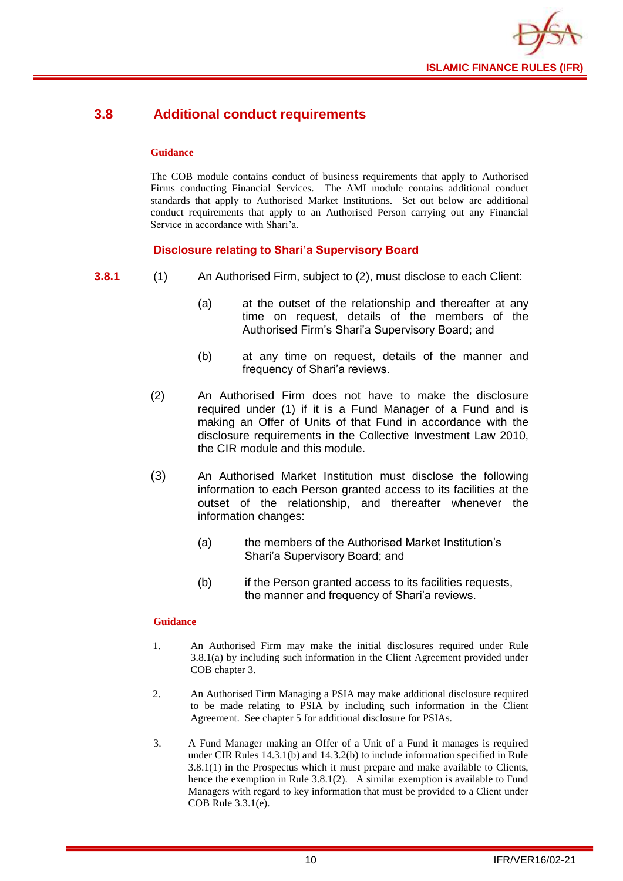

## <span id="page-12-0"></span>**3.8 Additional conduct requirements**

#### **Guidance**

The COB module contains conduct of business requirements that apply to Authorised Firms conducting Financial Services. The AMI module contains additional conduct standards that apply to Authorised Market Institutions. Set out below are additional conduct requirements that apply to an Authorised Person carrying out any Financial Service in accordance with Shari'a.

## **Disclosure relating to Shari'a Supervisory Board**

- **3.8.1** (1) An Authorised Firm, subject to (2), must disclose to each Client:
	- (a) at the outset of the relationship and thereafter at any time on request, details of the members of the Authorised Firm's Shari'a Supervisory Board; and
	- (b) at any time on request, details of the manner and frequency of Shari'a reviews.
	- (2) An Authorised Firm does not have to make the disclosure required under (1) if it is a Fund Manager of a Fund and is making an Offer of Units of that Fund in accordance with the disclosure requirements in the Collective Investment Law 2010, the CIR module and this module.
	- (3) An Authorised Market Institution must disclose the following information to each Person granted access to its facilities at the outset of the relationship, and thereafter whenever the information changes:
		- (a) the members of the Authorised Market Institution's Shari'a Supervisory Board; and
		- (b) if the Person granted access to its facilities requests, the manner and frequency of Shari'a reviews.

- 1. An Authorised Firm may make the initial disclosures required under Rule 3.8.1(a) by including such information in the Client Agreement provided under COB chapter 3.
- 2. An Authorised Firm Managing a PSIA may make additional disclosure required to be made relating to PSIA by including such information in the Client Agreement. See chapter 5 for additional disclosure for PSIAs.
- 3. A Fund Manager making an Offer of a Unit of a Fund it manages is required under CIR Rules 14.3.1(b) and 14.3.2(b) to include information specified in Rule 3.8.1(1) in the Prospectus which it must prepare and make available to Clients, hence the exemption in Rule 3.8.1(2). A similar exemption is available to Fund Managers with regard to key information that must be provided to a Client under COB Rule 3.3.1(e).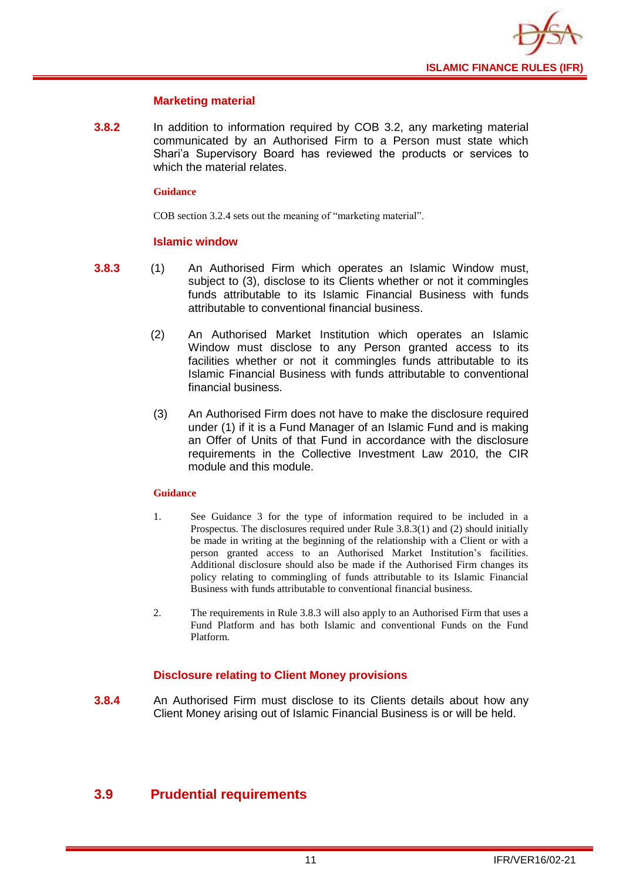

#### **Marketing material**

**3.8.2** In addition to information required by COB 3.2, any marketing material communicated by an Authorised Firm to a Person must state which Shari'a Supervisory Board has reviewed the products or services to which the material relates.

#### **Guidance**

COB section 3.2.4 sets out the meaning of "marketing material".

#### **Islamic window**

- **3.8.3** (1) An Authorised Firm which operates an Islamic Window must, subject to (3), disclose to its Clients whether or not it commingles funds attributable to its Islamic Financial Business with funds attributable to conventional financial business.
	- (2) An Authorised Market Institution which operates an Islamic Window must disclose to any Person granted access to its facilities whether or not it commingles funds attributable to its Islamic Financial Business with funds attributable to conventional financial business.
	- (3) An Authorised Firm does not have to make the disclosure required under (1) if it is a Fund Manager of an Islamic Fund and is making an Offer of Units of that Fund in accordance with the disclosure requirements in the Collective Investment Law 2010, the CIR module and this module.

#### **Guidance**

- 1. See Guidance 3 for the type of information required to be included in a Prospectus. The disclosures required under Rule 3.8.3(1) and (2) should initially be made in writing at the beginning of the relationship with a Client or with a person granted access to an Authorised Market Institution's facilities. Additional disclosure should also be made if the Authorised Firm changes its policy relating to commingling of funds attributable to its Islamic Financial Business with funds attributable to conventional financial business.
- 2. The requirements in Rule 3.8.3 will also apply to an Authorised Firm that uses a Fund Platform and has both Islamic and conventional Funds on the Fund Platform.

## **Disclosure relating to Client Money provisions**

**3.8.4** An Authorised Firm must disclose to its Clients details about how any Client Money arising out of Islamic Financial Business is or will be held.

## <span id="page-13-0"></span>**3.9 Prudential requirements**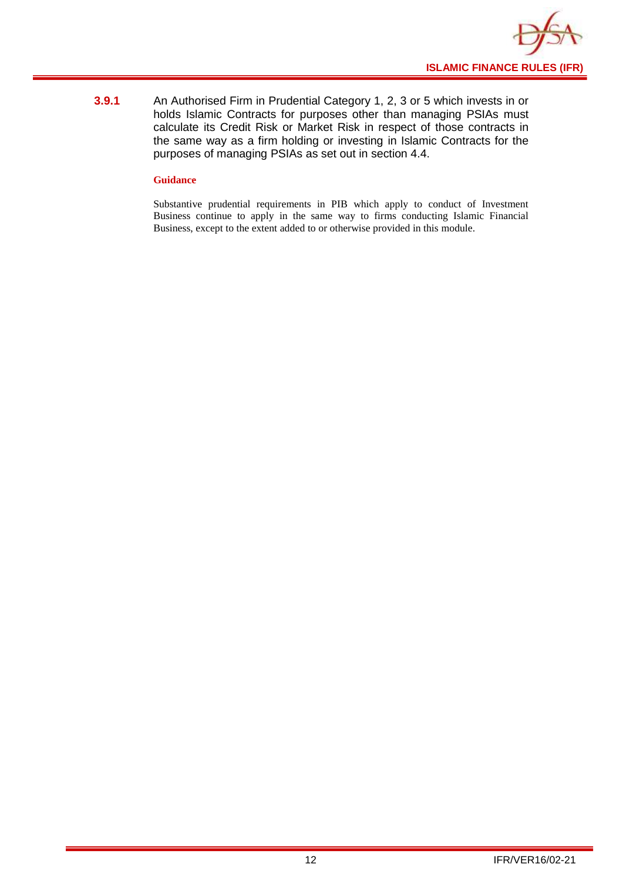

**3.9.1** An Authorised Firm in Prudential Category 1, 2, 3 or 5 which invests in or holds Islamic Contracts for purposes other than managing PSIAs must calculate its Credit Risk or Market Risk in respect of those contracts in the same way as a firm holding or investing in Islamic Contracts for the purposes of managing PSIAs as set out in section 4.4.

#### **Guidance**

Substantive prudential requirements in PIB which apply to conduct of Investment Business continue to apply in the same way to firms conducting Islamic Financial Business, except to the extent added to or otherwise provided in this module.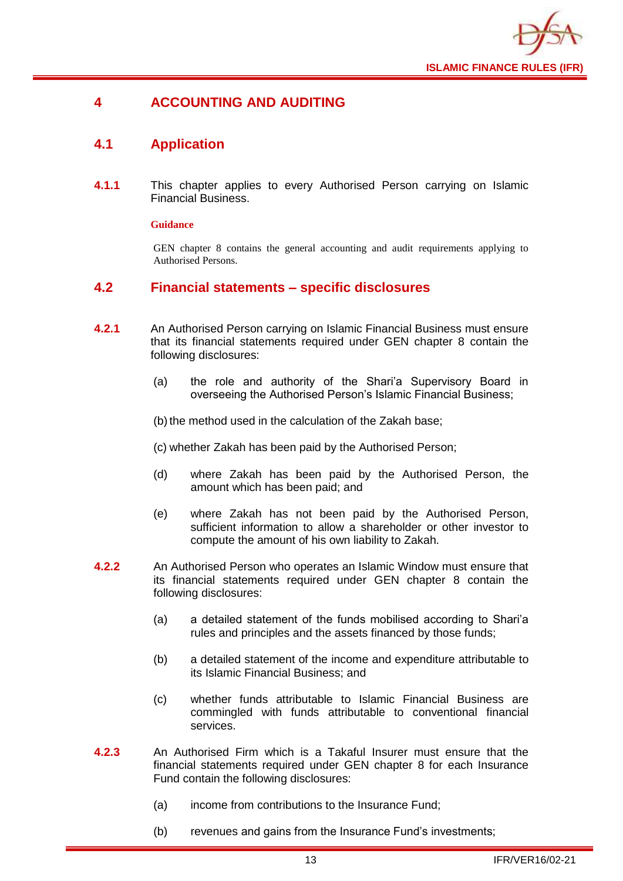

## <span id="page-15-0"></span>**4 ACCOUNTING AND AUDITING**

## <span id="page-15-1"></span>**4.1 Application**

**4.1.1** This chapter applies to every Authorised Person carrying on Islamic Financial Business.

#### **Guidance**

GEN chapter 8 contains the general accounting and audit requirements applying to Authorised Persons.

#### <span id="page-15-2"></span>**4.2 Financial statements – specific disclosures**

- **4.2.1** An Authorised Person carrying on Islamic Financial Business must ensure that its financial statements required under GEN chapter 8 contain the following disclosures:
	- (a) the role and authority of the Shari'a Supervisory Board in overseeing the Authorised Person's Islamic Financial Business;

(b) the method used in the calculation of the Zakah base;

(c) whether Zakah has been paid by the Authorised Person;

- (d) where Zakah has been paid by the Authorised Person, the amount which has been paid; and
- (e) where Zakah has not been paid by the Authorised Person, sufficient information to allow a shareholder or other investor to compute the amount of his own liability to Zakah.
- **4.2.2** An Authorised Person who operates an Islamic Window must ensure that its financial statements required under GEN chapter 8 contain the following disclosures:
	- (a) a detailed statement of the funds mobilised according to Shari'a rules and principles and the assets financed by those funds;
	- (b) a detailed statement of the income and expenditure attributable to its Islamic Financial Business; and
	- (c) whether funds attributable to Islamic Financial Business are commingled with funds attributable to conventional financial services.
- **4.2.3** An Authorised Firm which is a Takaful Insurer must ensure that the financial statements required under GEN chapter 8 for each Insurance Fund contain the following disclosures:
	- (a) income from contributions to the Insurance Fund;
	- (b) revenues and gains from the Insurance Fund's investments;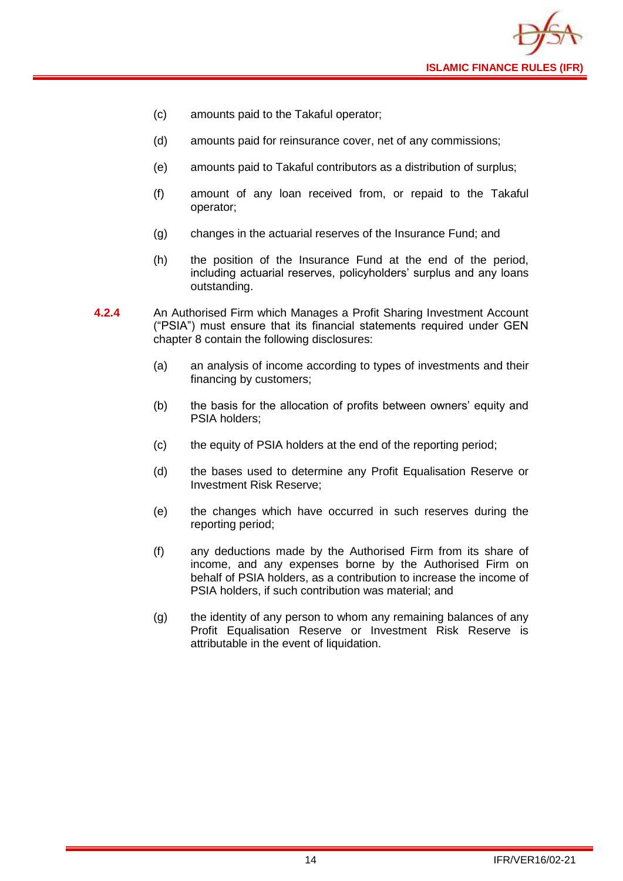

- (c) amounts paid to the Takaful operator;
- (d) amounts paid for reinsurance cover, net of any commissions;
- (e) amounts paid to Takaful contributors as a distribution of surplus;
- (f) amount of any loan received from, or repaid to the Takaful operator;
- (g) changes in the actuarial reserves of the Insurance Fund; and
- (h) the position of the Insurance Fund at the end of the period, including actuarial reserves, policyholders' surplus and any loans outstanding.
- **4.2.4** An Authorised Firm which Manages a Profit Sharing Investment Account ("PSIA") must ensure that its financial statements required under GEN chapter 8 contain the following disclosures:
	- (a) an analysis of income according to types of investments and their financing by customers;
	- (b) the basis for the allocation of profits between owners' equity and PSIA holders;
	- (c) the equity of PSIA holders at the end of the reporting period;
	- (d) the bases used to determine any Profit Equalisation Reserve or Investment Risk Reserve;
	- (e) the changes which have occurred in such reserves during the reporting period;
	- (f) any deductions made by the Authorised Firm from its share of income, and any expenses borne by the Authorised Firm on behalf of PSIA holders, as a contribution to increase the income of PSIA holders, if such contribution was material; and
	- (g) the identity of any person to whom any remaining balances of any Profit Equalisation Reserve or Investment Risk Reserve is attributable in the event of liquidation.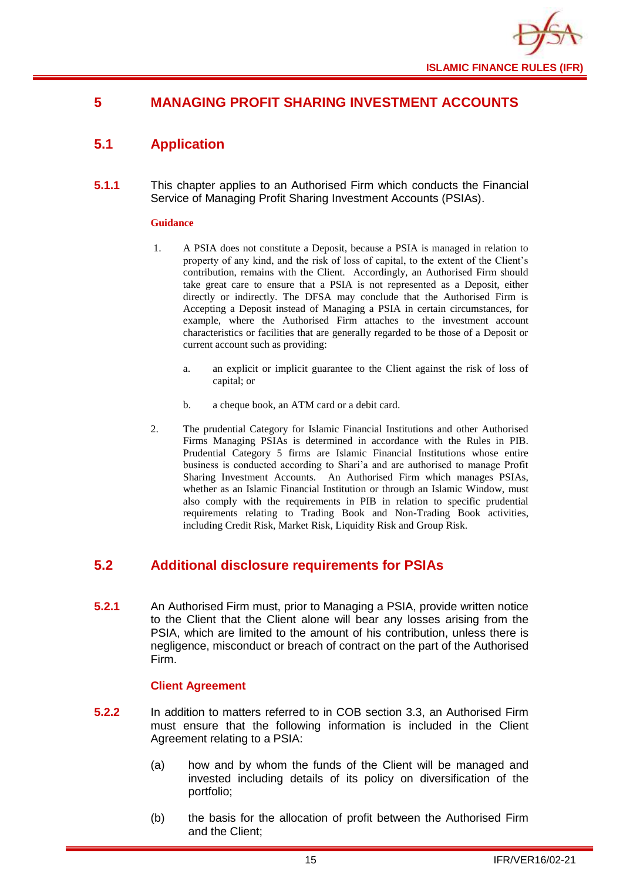

## <span id="page-17-0"></span>**5 MANAGING PROFIT SHARING INVESTMENT ACCOUNTS**

## <span id="page-17-1"></span>**5.1 Application**

**5.1.1** This chapter applies to an Authorised Firm which conducts the Financial Service of Managing Profit Sharing Investment Accounts (PSIAs).

#### **Guidance**

- 1. A PSIA does not constitute a Deposit, because a PSIA is managed in relation to property of any kind, and the risk of loss of capital, to the extent of the Client's contribution, remains with the Client. Accordingly, an Authorised Firm should take great care to ensure that a PSIA is not represented as a Deposit, either directly or indirectly. The DFSA may conclude that the Authorised Firm is Accepting a Deposit instead of Managing a PSIA in certain circumstances, for example, where the Authorised Firm attaches to the investment account characteristics or facilities that are generally regarded to be those of a Deposit or current account such as providing:
	- a. an explicit or implicit guarantee to the Client against the risk of loss of capital; or
	- b. a cheque book, an ATM card or a debit card.
- 2. The prudential Category for Islamic Financial Institutions and other Authorised Firms Managing PSIAs is determined in accordance with the Rules in PIB. Prudential Category 5 firms are Islamic Financial Institutions whose entire business is conducted according to Shari'a and are authorised to manage Profit Sharing Investment Accounts. An Authorised Firm which manages PSIAs, whether as an Islamic Financial Institution or through an Islamic Window, must also comply with the requirements in PIB in relation to specific prudential requirements relating to Trading Book and Non-Trading Book activities, including Credit Risk, Market Risk, Liquidity Risk and Group Risk.

## <span id="page-17-2"></span>**5.2 Additional disclosure requirements for PSIAs**

**5.2.1** An Authorised Firm must, prior to Managing a PSIA, provide written notice to the Client that the Client alone will bear any losses arising from the PSIA, which are limited to the amount of his contribution, unless there is negligence, misconduct or breach of contract on the part of the Authorised Firm.

#### **Client Agreement**

- **5.2.2** In addition to matters referred to in COB section 3.3, an Authorised Firm must ensure that the following information is included in the Client Agreement relating to a PSIA:
	- (a) how and by whom the funds of the Client will be managed and invested including details of its policy on diversification of the portfolio;
	- (b) the basis for the allocation of profit between the Authorised Firm and the Client;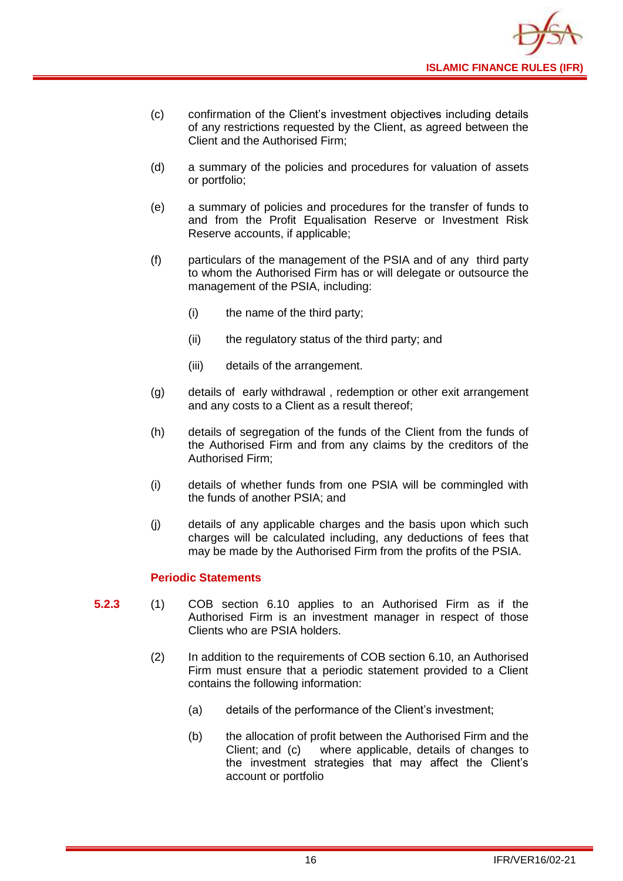

- (c) confirmation of the Client's investment objectives including details of any restrictions requested by the Client, as agreed between the Client and the Authorised Firm;
- (d) a summary of the policies and procedures for valuation of assets or portfolio;
- (e) a summary of policies and procedures for the transfer of funds to and from the Profit Equalisation Reserve or Investment Risk Reserve accounts, if applicable;
- (f) particulars of the management of the PSIA and of any third party to whom the Authorised Firm has or will delegate or outsource the management of the PSIA, including:
	- (i) the name of the third party;
	- (ii) the regulatory status of the third party; and
	- (iii) details of the arrangement.
- (g) details of early withdrawal , redemption or other exit arrangement and any costs to a Client as a result thereof;
- (h) details of segregation of the funds of the Client from the funds of the Authorised Firm and from any claims by the creditors of the Authorised Firm;
- (i) details of whether funds from one PSIA will be commingled with the funds of another PSIA; and
- (j) details of any applicable charges and the basis upon which such charges will be calculated including, any deductions of fees that may be made by the Authorised Firm from the profits of the PSIA.

#### **Periodic Statements**

- **5.2.3** (1) COB section 6.10 applies to an Authorised Firm as if the Authorised Firm is an investment manager in respect of those Clients who are PSIA holders.
	- (2) In addition to the requirements of COB section 6.10, an Authorised Firm must ensure that a periodic statement provided to a Client contains the following information:
		- (a) details of the performance of the Client's investment;
		- (b) the allocation of profit between the Authorised Firm and the Client; and (c) where applicable, details of changes to the investment strategies that may affect the Client's account or portfolio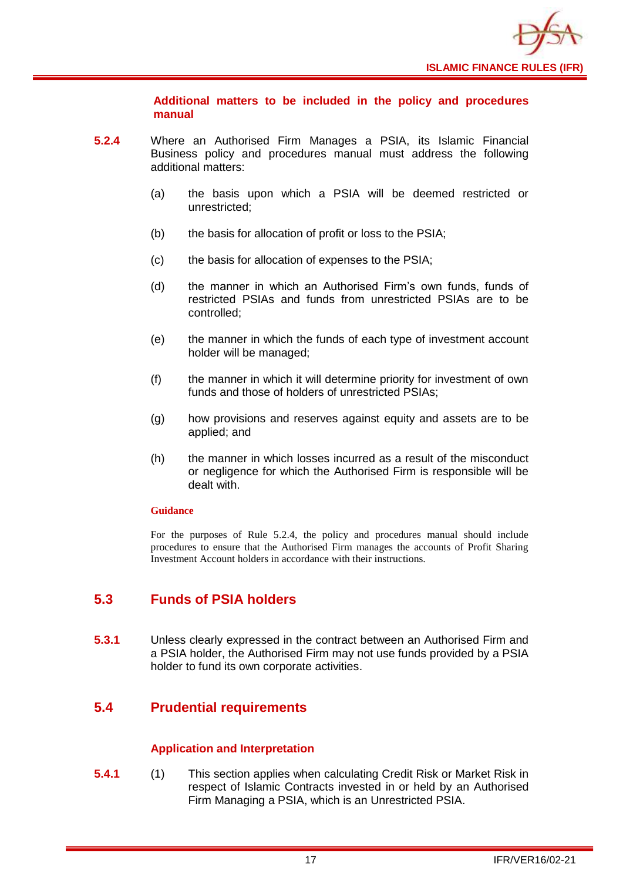

**Additional matters to be included in the policy and procedures manual** 

- **5.2.4** Where an Authorised Firm Manages a PSIA, its Islamic Financial Business policy and procedures manual must address the following additional matters:
	- (a) the basis upon which a PSIA will be deemed restricted or unrestricted;
	- (b) the basis for allocation of profit or loss to the PSIA;
	- (c) the basis for allocation of expenses to the PSIA;
	- (d) the manner in which an Authorised Firm's own funds, funds of restricted PSIAs and funds from unrestricted PSIAs are to be controlled;
	- (e) the manner in which the funds of each type of investment account holder will be managed;
	- (f) the manner in which it will determine priority for investment of own funds and those of holders of unrestricted PSIAs:
	- (g) how provisions and reserves against equity and assets are to be applied; and
	- (h) the manner in which losses incurred as a result of the misconduct or negligence for which the Authorised Firm is responsible will be dealt with.

#### **Guidance**

For the purposes of Rule 5.2.4, the policy and procedures manual should include procedures to ensure that the Authorised Firm manages the accounts of Profit Sharing Investment Account holders in accordance with their instructions.

## <span id="page-19-0"></span>**5.3 Funds of PSIA holders**

**5.3.1** Unless clearly expressed in the contract between an Authorised Firm and a PSIA holder, the Authorised Firm may not use funds provided by a PSIA holder to fund its own corporate activities.

## <span id="page-19-1"></span>**5.4 Prudential requirements**

#### **Application and Interpretation**

**5.4.1** (1) This section applies when calculating Credit Risk or Market Risk in respect of Islamic Contracts invested in or held by an Authorised Firm Managing a PSIA, which is an Unrestricted PSIA.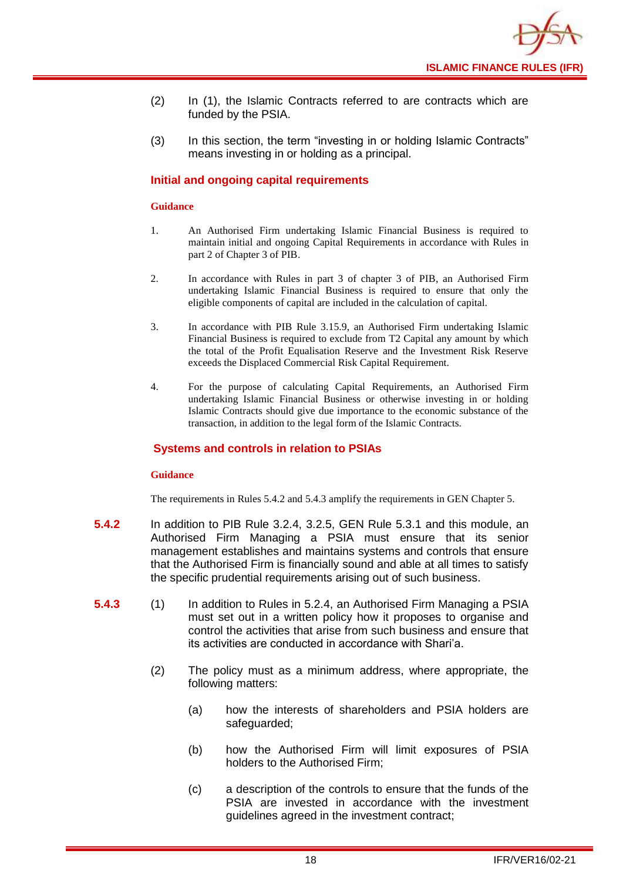

- (2) In (1), the Islamic Contracts referred to are contracts which are funded by the PSIA.
- (3) In this section, the term "investing in or holding Islamic Contracts" means investing in or holding as a principal.

#### **Initial and ongoing capital requirements**

#### **Guidance**

- 1. An Authorised Firm undertaking Islamic Financial Business is required to maintain initial and ongoing Capital Requirements in accordance with Rules in part 2 of Chapter 3 of PIB.
- 2. In accordance with Rules in part 3 of chapter 3 of PIB, an Authorised Firm undertaking Islamic Financial Business is required to ensure that only the eligible components of capital are included in the calculation of capital.
- 3. In accordance with PIB Rule 3.15.9, an Authorised Firm undertaking Islamic Financial Business is required to exclude from T2 Capital any amount by which the total of the Profit Equalisation Reserve and the Investment Risk Reserve exceeds the Displaced Commercial Risk Capital Requirement.
- 4. For the purpose of calculating Capital Requirements, an Authorised Firm undertaking Islamic Financial Business or otherwise investing in or holding Islamic Contracts should give due importance to the economic substance of the transaction, in addition to the legal form of the Islamic Contracts.

#### **Systems and controls in relation to PSIAs**

#### **Guidance**

The requirements in Rules 5.4.2 and 5.4.3 amplify the requirements in GEN Chapter 5.

- **5.4.2** In addition to PIB Rule 3.2.4, 3.2.5, GEN Rule 5.3.1 and this module, an Authorised Firm Managing a PSIA must ensure that its senior management establishes and maintains systems and controls that ensure that the Authorised Firm is financially sound and able at all times to satisfy the specific prudential requirements arising out of such business.
- **5.4.3** (1) In addition to Rules in 5.2.4, an Authorised Firm Managing a PSIA must set out in a written policy how it proposes to organise and control the activities that arise from such business and ensure that its activities are conducted in accordance with Shari'a.
	- (2) The policy must as a minimum address, where appropriate, the following matters:
		- (a) how the interests of shareholders and PSIA holders are safeguarded;
		- (b) how the Authorised Firm will limit exposures of PSIA holders to the Authorised Firm;
		- (c) a description of the controls to ensure that the funds of the PSIA are invested in accordance with the investment guidelines agreed in the investment contract;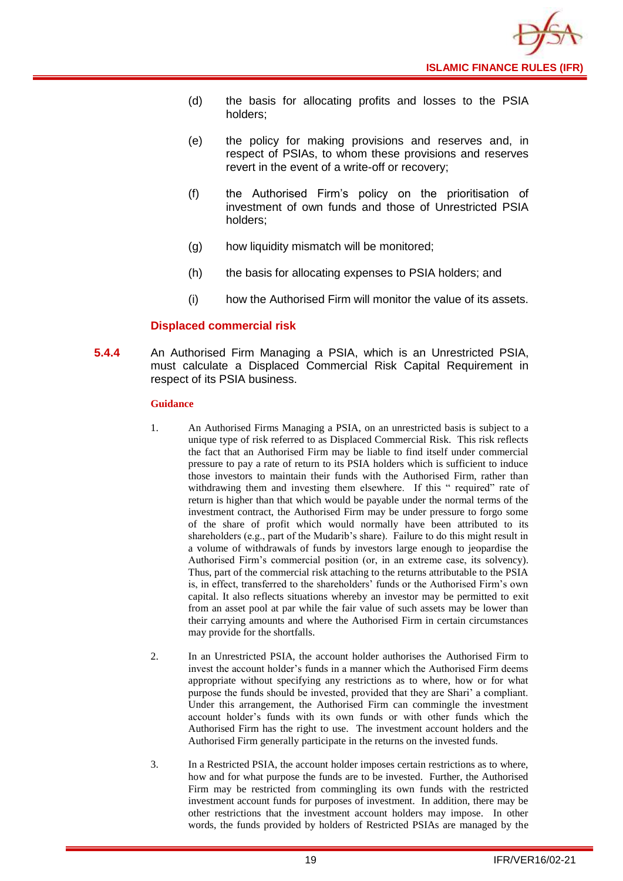![](_page_21_Picture_0.jpeg)

- (d) the basis for allocating profits and losses to the PSIA holders;
- (e) the policy for making provisions and reserves and, in respect of PSIAs, to whom these provisions and reserves revert in the event of a write-off or recovery;
- (f) the Authorised Firm's policy on the prioritisation of investment of own funds and those of Unrestricted PSIA holders;
- (g) how liquidity mismatch will be monitored;
- (h) the basis for allocating expenses to PSIA holders; and
- (i) how the Authorised Firm will monitor the value of its assets.

#### **Displaced commercial risk**

**5.4.4** An Authorised Firm Managing a PSIA, which is an Unrestricted PSIA, must calculate a Displaced Commercial Risk Capital Requirement in respect of its PSIA business.

- 1. An Authorised Firms Managing a PSIA, on an unrestricted basis is subject to a unique type of risk referred to as Displaced Commercial Risk. This risk reflects the fact that an Authorised Firm may be liable to find itself under commercial pressure to pay a rate of return to its PSIA holders which is sufficient to induce those investors to maintain their funds with the Authorised Firm, rather than withdrawing them and investing them elsewhere. If this " required" rate of return is higher than that which would be payable under the normal terms of the investment contract, the Authorised Firm may be under pressure to forgo some of the share of profit which would normally have been attributed to its shareholders (e.g., part of the Mudarib's share). Failure to do this might result in a volume of withdrawals of funds by investors large enough to jeopardise the Authorised Firm's commercial position (or, in an extreme case, its solvency). Thus, part of the commercial risk attaching to the returns attributable to the PSIA is, in effect, transferred to the shareholders' funds or the Authorised Firm's own capital. It also reflects situations whereby an investor may be permitted to exit from an asset pool at par while the fair value of such assets may be lower than their carrying amounts and where the Authorised Firm in certain circumstances may provide for the shortfalls.
- 2. In an Unrestricted PSIA, the account holder authorises the Authorised Firm to invest the account holder's funds in a manner which the Authorised Firm deems appropriate without specifying any restrictions as to where, how or for what purpose the funds should be invested, provided that they are Shari' a compliant. Under this arrangement, the Authorised Firm can commingle the investment account holder's funds with its own funds or with other funds which the Authorised Firm has the right to use. The investment account holders and the Authorised Firm generally participate in the returns on the invested funds.
- 3. In a Restricted PSIA, the account holder imposes certain restrictions as to where, how and for what purpose the funds are to be invested. Further, the Authorised Firm may be restricted from commingling its own funds with the restricted investment account funds for purposes of investment. In addition, there may be other restrictions that the investment account holders may impose. In other words, the funds provided by holders of Restricted PSIAs are managed by the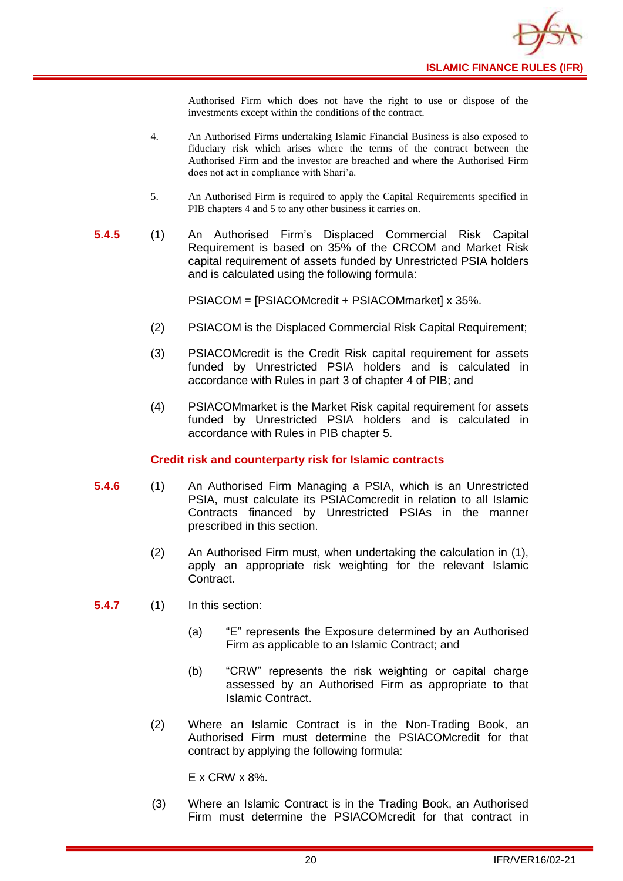![](_page_22_Picture_0.jpeg)

Authorised Firm which does not have the right to use or dispose of the investments except within the conditions of the contract.

- 4. An Authorised Firms undertaking Islamic Financial Business is also exposed to fiduciary risk which arises where the terms of the contract between the Authorised Firm and the investor are breached and where the Authorised Firm does not act in compliance with Shari'a.
- 5. An Authorised Firm is required to apply the Capital Requirements specified in PIB chapters 4 and 5 to any other business it carries on.
- **5.4.5** (1) An Authorised Firm's Displaced Commercial Risk Capital Requirement is based on 35% of the CRCOM and Market Risk capital requirement of assets funded by Unrestricted PSIA holders and is calculated using the following formula:

PSIACOM = [PSIACOMcredit + PSIACOMmarket] x 35%.

- (2) PSIACOM is the Displaced Commercial Risk Capital Requirement;
- (3) PSIACOMcredit is the Credit Risk capital requirement for assets funded by Unrestricted PSIA holders and is calculated in accordance with Rules in part 3 of chapter 4 of PIB; and
- (4) PSIACOMmarket is the Market Risk capital requirement for assets funded by Unrestricted PSIA holders and is calculated in accordance with Rules in PIB chapter 5.

#### **Credit risk and counterparty risk for Islamic contracts**

- **5.4.6** (1) An Authorised Firm Managing a PSIA, which is an Unrestricted PSIA, must calculate its PSIAComcredit in relation to all Islamic Contracts financed by Unrestricted PSIAs in the manner prescribed in this section.
	- (2) An Authorised Firm must, when undertaking the calculation in (1), apply an appropriate risk weighting for the relevant Islamic Contract.

**5.4.7** (1) In this section:

- (a) "E" represents the Exposure determined by an Authorised Firm as applicable to an Islamic Contract; and
- (b) "CRW" represents the risk weighting or capital charge assessed by an Authorised Firm as appropriate to that Islamic Contract.
- (2) Where an Islamic Contract is in the Non-Trading Book, an Authorised Firm must determine the PSIACOMcredit for that contract by applying the following formula:

E x CRW x 8%.

(3) Where an Islamic Contract is in the Trading Book, an Authorised Firm must determine the PSIACOMcredit for that contract in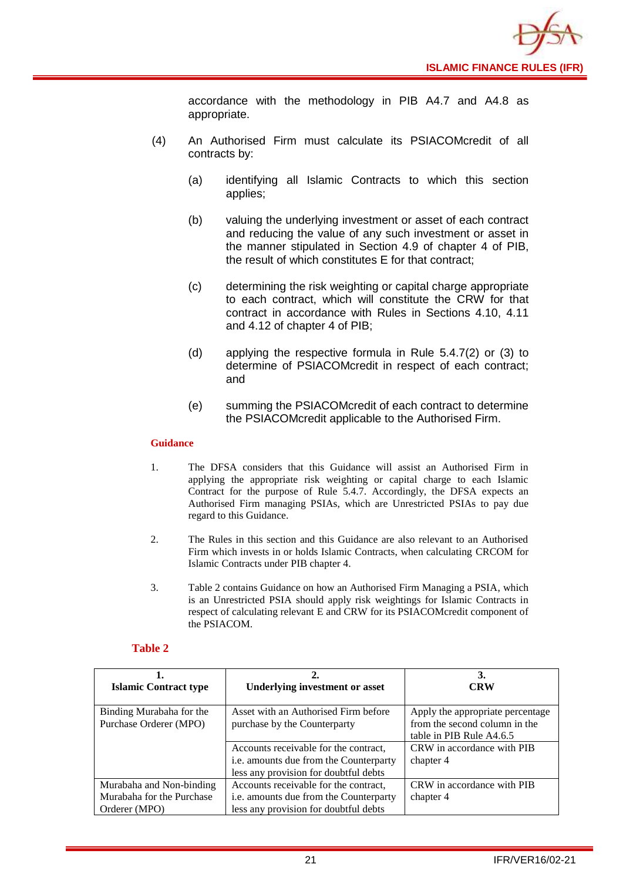![](_page_23_Picture_0.jpeg)

accordance with the methodology in PIB A4.7 and A4.8 as appropriate.

- (4) An Authorised Firm must calculate its PSIACOMcredit of all contracts by:
	- (a) identifying all Islamic Contracts to which this section applies;
	- (b) valuing the underlying investment or asset of each contract and reducing the value of any such investment or asset in the manner stipulated in Section 4.9 of chapter 4 of PIB, the result of which constitutes E for that contract;
	- (c) determining the risk weighting or capital charge appropriate to each contract, which will constitute the CRW for that contract in accordance with Rules in Sections 4.10, 4.11 and 4.12 of chapter 4 of PIB;
	- (d) applying the respective formula in Rule 5.4.7(2) or (3) to determine of PSIACOMcredit in respect of each contract; and
	- (e) summing the PSIACOMcredit of each contract to determine the PSIACOMcredit applicable to the Authorised Firm.

#### **Guidance**

- 1. The DFSA considers that this Guidance will assist an Authorised Firm in applying the appropriate risk weighting or capital charge to each Islamic Contract for the purpose of Rule 5.4.7. Accordingly, the DFSA expects an Authorised Firm managing PSIAs, which are Unrestricted PSIAs to pay due regard to this Guidance.
- 2. The Rules in this section and this Guidance are also relevant to an Authorised Firm which invests in or holds Islamic Contracts, when calculating CRCOM for Islamic Contracts under PIB chapter 4.
- 3. Table 2 contains Guidance on how an Authorised Firm Managing a PSIA, which is an Unrestricted PSIA should apply risk weightings for Islamic Contracts in respect of calculating relevant E and CRW for its PSIACOMcredit component of the PSIACOM.

#### **Table 2**

| <b>Islamic Contract type</b> | <b>Underlying investment or asset</b>  | 3.<br><b>CRW</b>                 |
|------------------------------|----------------------------------------|----------------------------------|
|                              |                                        |                                  |
| Binding Murabaha for the     | Asset with an Authorised Firm before   | Apply the appropriate percentage |
| Purchase Orderer (MPO)       | purchase by the Counterparty           | from the second column in the    |
|                              |                                        | table in PIB Rule A4.6.5         |
|                              | Accounts receivable for the contract,  | CRW in accordance with PIB       |
|                              | i.e. amounts due from the Counterparty | chapter 4                        |
|                              | less any provision for doubtful debts  |                                  |
| Murabaha and Non-binding     | Accounts receivable for the contract,  | CRW in accordance with PIB       |
| Murabaha for the Purchase    | i.e. amounts due from the Counterparty | chapter 4                        |
| Orderer (MPO)                | less any provision for doubtful debts  |                                  |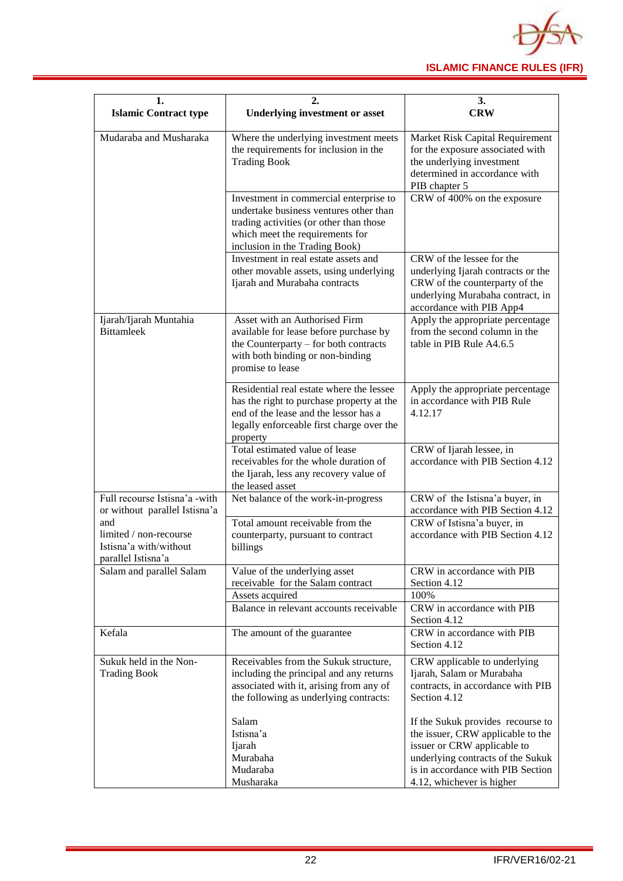![](_page_24_Picture_0.jpeg)

| 1.<br><b>Islamic Contract type</b>                                            | 2.<br><b>Underlying investment or asset</b>                                                                                                                                                      | 3.<br><b>CRW</b>                                                                                                                                                                                             |  |  |  |  |  |
|-------------------------------------------------------------------------------|--------------------------------------------------------------------------------------------------------------------------------------------------------------------------------------------------|--------------------------------------------------------------------------------------------------------------------------------------------------------------------------------------------------------------|--|--|--|--|--|
| Mudaraba and Musharaka                                                        | Where the underlying investment meets<br>the requirements for inclusion in the<br><b>Trading Book</b>                                                                                            | Market Risk Capital Requirement<br>for the exposure associated with<br>the underlying investment<br>determined in accordance with<br>PIB chapter 5                                                           |  |  |  |  |  |
|                                                                               | Investment in commercial enterprise to<br>undertake business ventures other than<br>trading activities (or other than those<br>which meet the requirements for<br>inclusion in the Trading Book) | CRW of 400% on the exposure                                                                                                                                                                                  |  |  |  |  |  |
|                                                                               | Investment in real estate assets and<br>other movable assets, using underlying<br>Ijarah and Murabaha contracts                                                                                  | CRW of the lessee for the<br>underlying Ijarah contracts or the<br>CRW of the counterparty of the<br>underlying Murabaha contract, in<br>accordance with PIB App4                                            |  |  |  |  |  |
| Ijarah/Ijarah Muntahia<br><b>Bittamleek</b>                                   | Asset with an Authorised Firm<br>available for lease before purchase by<br>the Counterparty – for both contracts<br>with both binding or non-binding<br>promise to lease                         | Apply the appropriate percentage<br>from the second column in the<br>table in PIB Rule A4.6.5                                                                                                                |  |  |  |  |  |
|                                                                               | Residential real estate where the lessee<br>has the right to purchase property at the<br>end of the lease and the lessor has a<br>legally enforceable first charge over the<br>property          | Apply the appropriate percentage<br>in accordance with PIB Rule<br>4.12.17                                                                                                                                   |  |  |  |  |  |
|                                                                               | Total estimated value of lease<br>receivables for the whole duration of<br>the Ijarah, less any recovery value of<br>the leased asset                                                            | CRW of Ijarah lessee, in<br>accordance with PIB Section 4.12                                                                                                                                                 |  |  |  |  |  |
| Full recourse Istisna'a -with<br>or without parallel Istisna'a                | Net balance of the work-in-progress                                                                                                                                                              | CRW of the Istisna'a buyer, in<br>accordance with PIB Section 4.12                                                                                                                                           |  |  |  |  |  |
| and<br>limited / non-recourse<br>Istisna'a with/without<br>parallel Istisna'a | Total amount receivable from the<br>counterparty, pursuant to contract<br>billings                                                                                                               | CRW of Istisna'a buyer, in<br>accordance with PIB Section 4.12                                                                                                                                               |  |  |  |  |  |
| Salam and parallel Salam                                                      | Value of the underlying asset<br>receivable for the Salam contract                                                                                                                               | CRW in accordance with PIB<br>Section 4.12                                                                                                                                                                   |  |  |  |  |  |
|                                                                               | Assets acquired                                                                                                                                                                                  | 100%                                                                                                                                                                                                         |  |  |  |  |  |
|                                                                               | Balance in relevant accounts receivable                                                                                                                                                          | CRW in accordance with PIB<br>Section 4.12                                                                                                                                                                   |  |  |  |  |  |
| Kefala                                                                        | The amount of the guarantee                                                                                                                                                                      | CRW in accordance with PIB<br>Section 4.12                                                                                                                                                                   |  |  |  |  |  |
| Sukuk held in the Non-<br><b>Trading Book</b>                                 | Receivables from the Sukuk structure,<br>including the principal and any returns<br>associated with it, arising from any of<br>the following as underlying contracts:                            | CRW applicable to underlying<br>Ijarah, Salam or Murabaha<br>contracts, in accordance with PIB<br>Section 4.12                                                                                               |  |  |  |  |  |
|                                                                               | Salam<br>Istisna'a<br>Ijarah<br>Murabaha<br>Mudaraba<br>Musharaka                                                                                                                                | If the Sukuk provides recourse to<br>the issuer, CRW applicable to the<br>issuer or CRW applicable to<br>underlying contracts of the Sukuk<br>is in accordance with PIB Section<br>4.12, whichever is higher |  |  |  |  |  |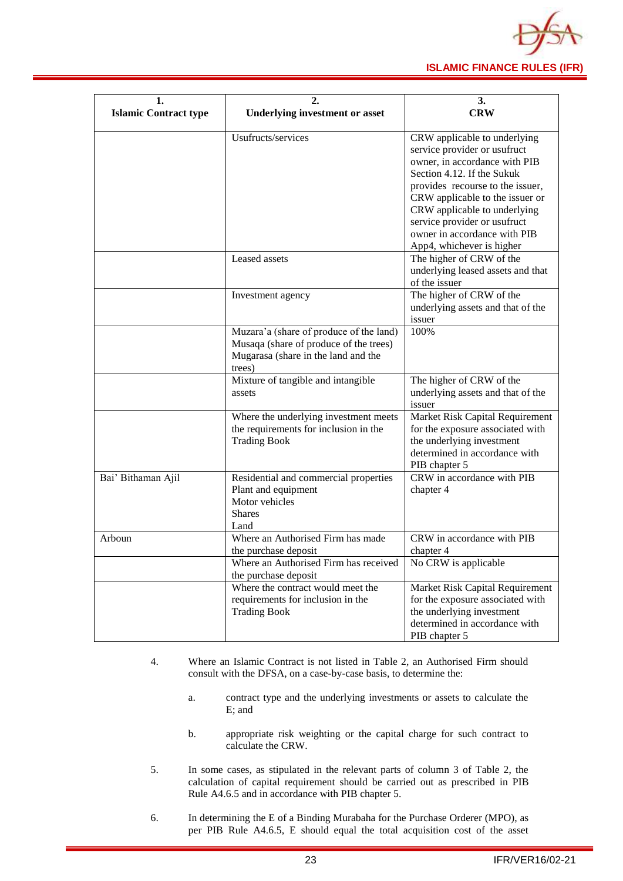![](_page_25_Picture_0.jpeg)

| 1.                           |                                                                                                                                    | 3.                                                                                                                                                                                                                                                                                                                              |  |  |  |  |  |
|------------------------------|------------------------------------------------------------------------------------------------------------------------------------|---------------------------------------------------------------------------------------------------------------------------------------------------------------------------------------------------------------------------------------------------------------------------------------------------------------------------------|--|--|--|--|--|
| <b>Islamic Contract type</b> | <b>Underlying investment or asset</b>                                                                                              | <b>CRW</b>                                                                                                                                                                                                                                                                                                                      |  |  |  |  |  |
|                              | Usufructs/services                                                                                                                 | CRW applicable to underlying<br>service provider or usufruct<br>owner, in accordance with PIB<br>Section 4.12. If the Sukuk<br>provides recourse to the issuer,<br>CRW applicable to the issuer or<br>CRW applicable to underlying<br>service provider or usufruct<br>owner in accordance with PIB<br>App4, whichever is higher |  |  |  |  |  |
|                              | Leased assets                                                                                                                      | The higher of CRW of the<br>underlying leased assets and that<br>of the issuer                                                                                                                                                                                                                                                  |  |  |  |  |  |
|                              | Investment agency                                                                                                                  | The higher of CRW of the<br>underlying assets and that of the<br>issuer                                                                                                                                                                                                                                                         |  |  |  |  |  |
|                              | Muzara'a (share of produce of the land)<br>Musaqa (share of produce of the trees)<br>Mugarasa (share in the land and the<br>trees) | 100%                                                                                                                                                                                                                                                                                                                            |  |  |  |  |  |
|                              | Mixture of tangible and intangible<br>assets                                                                                       | The higher of CRW of the<br>underlying assets and that of the<br>issuer                                                                                                                                                                                                                                                         |  |  |  |  |  |
|                              | Where the underlying investment meets<br>the requirements for inclusion in the<br><b>Trading Book</b>                              | Market Risk Capital Requirement<br>for the exposure associated with<br>the underlying investment<br>determined in accordance with<br>PIB chapter 5                                                                                                                                                                              |  |  |  |  |  |
| Bai' Bithaman Ajil           | Residential and commercial properties<br>Plant and equipment<br>Motor vehicles<br><b>Shares</b><br>Land                            | CRW in accordance with PIB<br>chapter 4                                                                                                                                                                                                                                                                                         |  |  |  |  |  |
| Arboun                       | Where an Authorised Firm has made<br>the purchase deposit<br>Where an Authorised Firm has received<br>the purchase deposit         | CRW in accordance with PIB<br>chapter 4<br>No CRW is applicable                                                                                                                                                                                                                                                                 |  |  |  |  |  |
|                              | Where the contract would meet the<br>requirements for inclusion in the<br><b>Trading Book</b>                                      | Market Risk Capital Requirement<br>for the exposure associated with<br>the underlying investment<br>determined in accordance with<br>PIB chapter 5                                                                                                                                                                              |  |  |  |  |  |

- 4. Where an Islamic Contract is not listed in Table 2, an Authorised Firm should consult with the DFSA, on a case-by-case basis, to determine the:
	- a. contract type and the underlying investments or assets to calculate the E; and
	- b. appropriate risk weighting or the capital charge for such contract to calculate the CRW.
- 5. In some cases, as stipulated in the relevant parts of column 3 of Table 2, the calculation of capital requirement should be carried out as prescribed in PIB Rule A4.6.5 and in accordance with PIB chapter 5.
- 6. In determining the E of a Binding Murabaha for the Purchase Orderer (MPO), as per PIB Rule A4.6.5, E should equal the total acquisition cost of the asset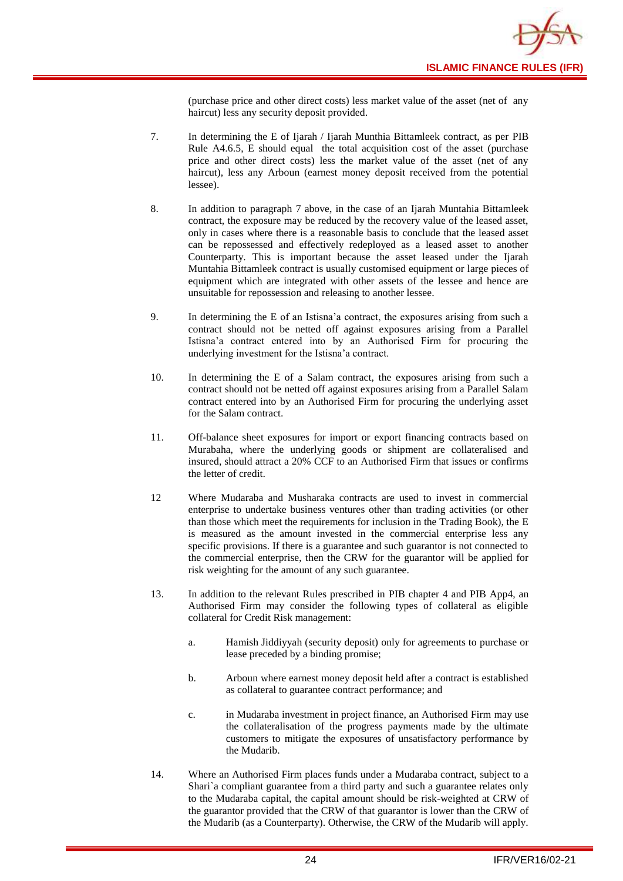![](_page_26_Picture_0.jpeg)

(purchase price and other direct costs) less market value of the asset (net of any haircut) less any security deposit provided.

- 7. In determining the E of Ijarah / Ijarah Munthia Bittamleek contract, as per PIB Rule A4.6.5, E should equal the total acquisition cost of the asset (purchase price and other direct costs) less the market value of the asset (net of any haircut), less any Arboun (earnest money deposit received from the potential lessee).
- 8. In addition to paragraph 7 above, in the case of an Ijarah Muntahia Bittamleek contract, the exposure may be reduced by the recovery value of the leased asset, only in cases where there is a reasonable basis to conclude that the leased asset can be repossessed and effectively redeployed as a leased asset to another Counterparty. This is important because the asset leased under the Ijarah Muntahia Bittamleek contract is usually customised equipment or large pieces of equipment which are integrated with other assets of the lessee and hence are unsuitable for repossession and releasing to another lessee.
- 9. In determining the E of an Istisna'a contract, the exposures arising from such a contract should not be netted off against exposures arising from a Parallel Istisna'a contract entered into by an Authorised Firm for procuring the underlying investment for the Istisna'a contract.
- 10. In determining the E of a Salam contract, the exposures arising from such a contract should not be netted off against exposures arising from a Parallel Salam contract entered into by an Authorised Firm for procuring the underlying asset for the Salam contract.
- 11. Off-balance sheet exposures for import or export financing contracts based on Murabaha, where the underlying goods or shipment are collateralised and insured, should attract a 20% CCF to an Authorised Firm that issues or confirms the letter of credit.
- 12 Where Mudaraba and Musharaka contracts are used to invest in commercial enterprise to undertake business ventures other than trading activities (or other than those which meet the requirements for inclusion in the Trading Book), the E is measured as the amount invested in the commercial enterprise less any specific provisions. If there is a guarantee and such guarantor is not connected to the commercial enterprise, then the CRW for the guarantor will be applied for risk weighting for the amount of any such guarantee.
- 13. In addition to the relevant Rules prescribed in PIB chapter 4 and PIB App4, an Authorised Firm may consider the following types of collateral as eligible collateral for Credit Risk management:
	- a. Hamish Jiddiyyah (security deposit) only for agreements to purchase or lease preceded by a binding promise;
	- b. Arboun where earnest money deposit held after a contract is established as collateral to guarantee contract performance; and
	- c. in Mudaraba investment in project finance, an Authorised Firm may use the collateralisation of the progress payments made by the ultimate customers to mitigate the exposures of unsatisfactory performance by the Mudarib.
- 14. Where an Authorised Firm places funds under a Mudaraba contract, subject to a Shari`a compliant guarantee from a third party and such a guarantee relates only to the Mudaraba capital, the capital amount should be risk-weighted at CRW of the guarantor provided that the CRW of that guarantor is lower than the CRW of the Mudarib (as a Counterparty). Otherwise, the CRW of the Mudarib will apply.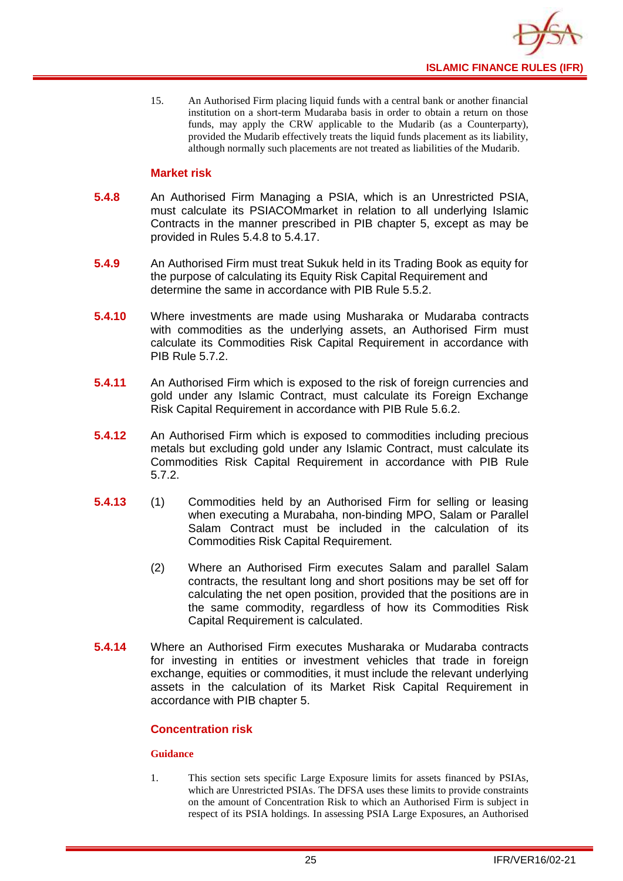![](_page_27_Picture_0.jpeg)

15. An Authorised Firm placing liquid funds with a central bank or another financial institution on a short-term Mudaraba basis in order to obtain a return on those funds, may apply the CRW applicable to the Mudarib (as a Counterparty), provided the Mudarib effectively treats the liquid funds placement as its liability, although normally such placements are not treated as liabilities of the Mudarib.

#### **Market risk**

- **5.4.8** An Authorised Firm Managing a PSIA, which is an Unrestricted PSIA, must calculate its PSIACOMmarket in relation to all underlying Islamic Contracts in the manner prescribed in PIB chapter 5, except as may be provided in Rules 5.4.8 to 5.4.17.
- **5.4.9** An Authorised Firm must treat Sukuk held in its Trading Book as equity for the purpose of calculating its Equity Risk Capital Requirement and determine the same in accordance with PIB Rule 5.5.2.
- **5.4.10** Where investments are made using Musharaka or Mudaraba contracts with commodities as the underlying assets, an Authorised Firm must calculate its Commodities Risk Capital Requirement in accordance with PIB Rule 5.7.2.
- **5.4.11** An Authorised Firm which is exposed to the risk of foreign currencies and gold under any Islamic Contract, must calculate its Foreign Exchange Risk Capital Requirement in accordance with PIB Rule 5.6.2.
- **5.4.12** An Authorised Firm which is exposed to commodities including precious metals but excluding gold under any Islamic Contract, must calculate its Commodities Risk Capital Requirement in accordance with PIB Rule 5.7.2.
- **5.4.13** (1) Commodities held by an Authorised Firm for selling or leasing when executing a Murabaha, non-binding MPO, Salam or Parallel Salam Contract must be included in the calculation of its Commodities Risk Capital Requirement.
	- (2) Where an Authorised Firm executes Salam and parallel Salam contracts, the resultant long and short positions may be set off for calculating the net open position, provided that the positions are in the same commodity, regardless of how its Commodities Risk Capital Requirement is calculated.
- **5.4.14** Where an Authorised Firm executes Musharaka or Mudaraba contracts for investing in entities or investment vehicles that trade in foreign exchange, equities or commodities, it must include the relevant underlying assets in the calculation of its Market Risk Capital Requirement in accordance with PIB chapter 5.

#### **Concentration risk**

#### **Guidance**

1. This section sets specific Large Exposure limits for assets financed by PSIAs, which are Unrestricted PSIAs. The DFSA uses these limits to provide constraints on the amount of Concentration Risk to which an Authorised Firm is subject in respect of its PSIA holdings. In assessing PSIA Large Exposures, an Authorised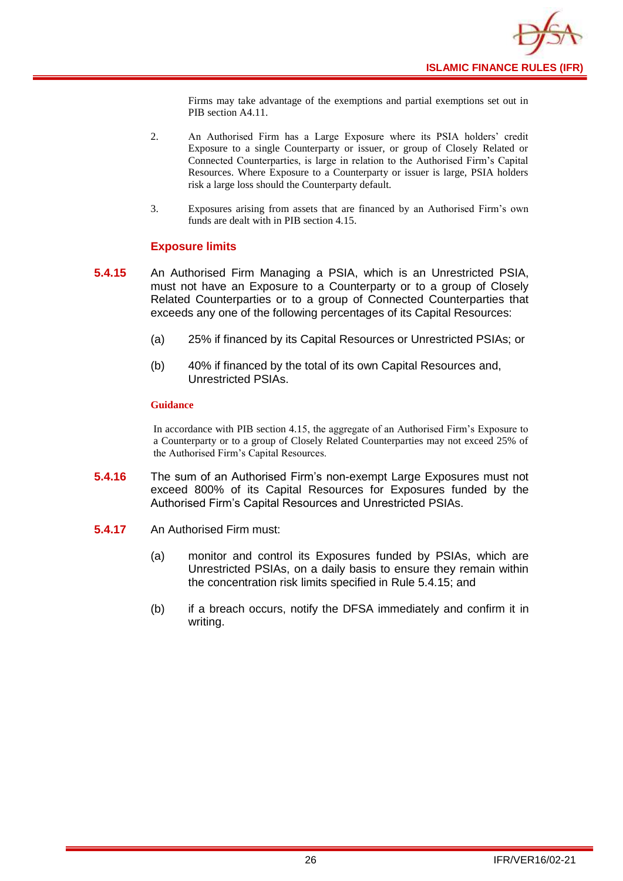![](_page_28_Picture_0.jpeg)

Firms may take advantage of the exemptions and partial exemptions set out in PIB section A4.11.

- 2. An Authorised Firm has a Large Exposure where its PSIA holders' credit Exposure to a single Counterparty or issuer, or group of Closely Related or Connected Counterparties, is large in relation to the Authorised Firm's Capital Resources. Where Exposure to a Counterparty or issuer is large, PSIA holders risk a large loss should the Counterparty default.
- 3. Exposures arising from assets that are financed by an Authorised Firm's own funds are dealt with in PIB section 4.15.

#### **Exposure limits**

- **5.4.15** An Authorised Firm Managing a PSIA, which is an Unrestricted PSIA, must not have an Exposure to a Counterparty or to a group of Closely Related Counterparties or to a group of Connected Counterparties that exceeds any one of the following percentages of its Capital Resources:
	- (a) 25% if financed by its Capital Resources or Unrestricted PSIAs; or
	- (b) 40% if financed by the total of its own Capital Resources and, Unrestricted PSIAs.

#### **Guidance**

In accordance with PIB section 4.15, the aggregate of an Authorised Firm's Exposure to a Counterparty or to a group of Closely Related Counterparties may not exceed 25% of the Authorised Firm's Capital Resources.

- **5.4.16** The sum of an Authorised Firm's non-exempt Large Exposures must not exceed 800% of its Capital Resources for Exposures funded by the Authorised Firm's Capital Resources and Unrestricted PSIAs.
- **5.4.17** An Authorised Firm must:
	- (a) monitor and control its Exposures funded by PSIAs, which are Unrestricted PSIAs, on a daily basis to ensure they remain within the concentration risk limits specified in Rule 5.4.15; and
	- (b) if a breach occurs, notify the DFSA immediately and confirm it in writing.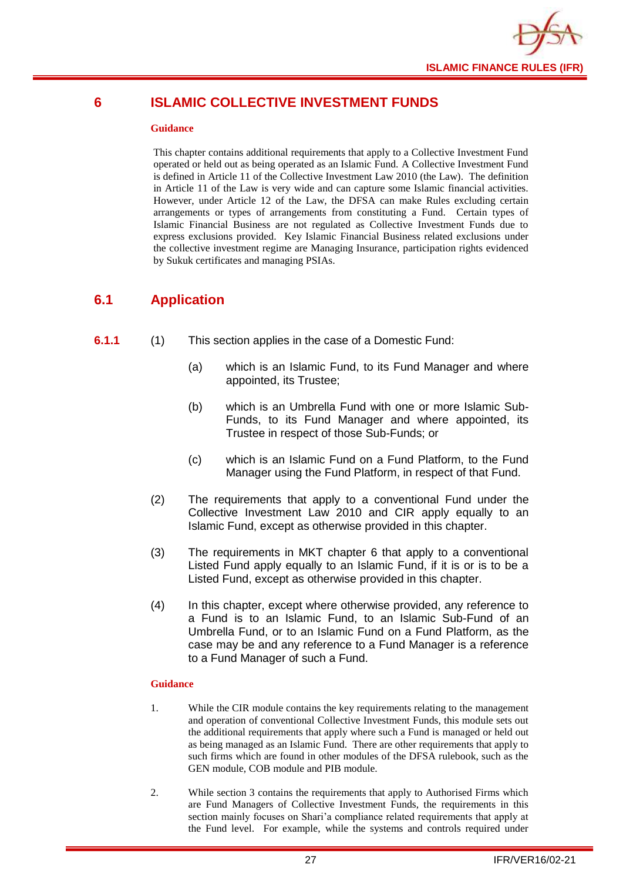![](_page_29_Picture_0.jpeg)

## <span id="page-29-0"></span>**6 ISLAMIC COLLECTIVE INVESTMENT FUNDS**

#### **Guidance**

This chapter contains additional requirements that apply to a Collective Investment Fund operated or held out as being operated as an Islamic Fund. A Collective Investment Fund is defined in Article 11 of the Collective Investment Law 2010 (the Law). The definition in Article 11 of the Law is very wide and can capture some Islamic financial activities. However, under Article 12 of the Law, the DFSA can make Rules excluding certain arrangements or types of arrangements from constituting a Fund. Certain types of Islamic Financial Business are not regulated as Collective Investment Funds due to express exclusions provided. Key Islamic Financial Business related exclusions under the collective investment regime are Managing Insurance, participation rights evidenced by Sukuk certificates and managing PSIAs.

## <span id="page-29-1"></span>**6.1 Application**

- **6.1.1** (1) This section applies in the case of a Domestic Fund:
	- (a) which is an Islamic Fund, to its Fund Manager and where appointed, its Trustee;
	- (b) which is an Umbrella Fund with one or more Islamic Sub-Funds, to its Fund Manager and where appointed, its Trustee in respect of those Sub-Funds; or
	- (c) which is an Islamic Fund on a Fund Platform, to the Fund Manager using the Fund Platform, in respect of that Fund.
	- (2) The requirements that apply to a conventional Fund under the Collective Investment Law 2010 and CIR apply equally to an Islamic Fund, except as otherwise provided in this chapter.
	- (3) The requirements in MKT chapter 6 that apply to a conventional Listed Fund apply equally to an Islamic Fund, if it is or is to be a Listed Fund, except as otherwise provided in this chapter.
	- (4) In this chapter, except where otherwise provided, any reference to a Fund is to an Islamic Fund, to an Islamic Sub-Fund of an Umbrella Fund, or to an Islamic Fund on a Fund Platform, as the case may be and any reference to a Fund Manager is a reference to a Fund Manager of such a Fund.

- 1. While the CIR module contains the key requirements relating to the management and operation of conventional Collective Investment Funds, this module sets out the additional requirements that apply where such a Fund is managed or held out as being managed as an Islamic Fund. There are other requirements that apply to such firms which are found in other modules of the DFSA rulebook, such as the GEN module, COB module and PIB module.
- 2. While section 3 contains the requirements that apply to Authorised Firms which are Fund Managers of Collective Investment Funds, the requirements in this section mainly focuses on Shari'a compliance related requirements that apply at the Fund level. For example, while the systems and controls required under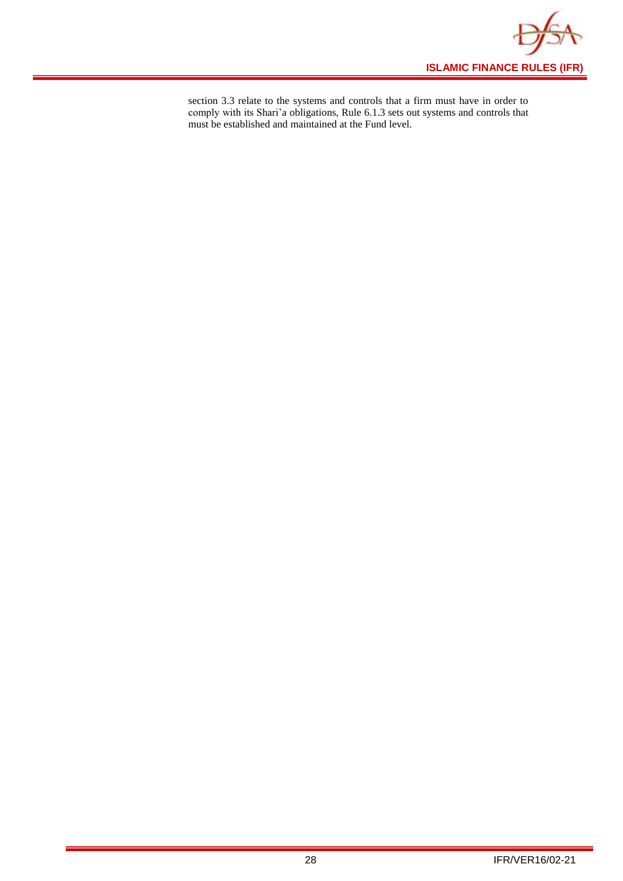![](_page_30_Picture_0.jpeg)

section 3.3 relate to the systems and controls that a firm must have in order to comply with its Shari'a obligations, Rule 6.1.3 sets out systems and controls that must be established and maintained at the Fund level.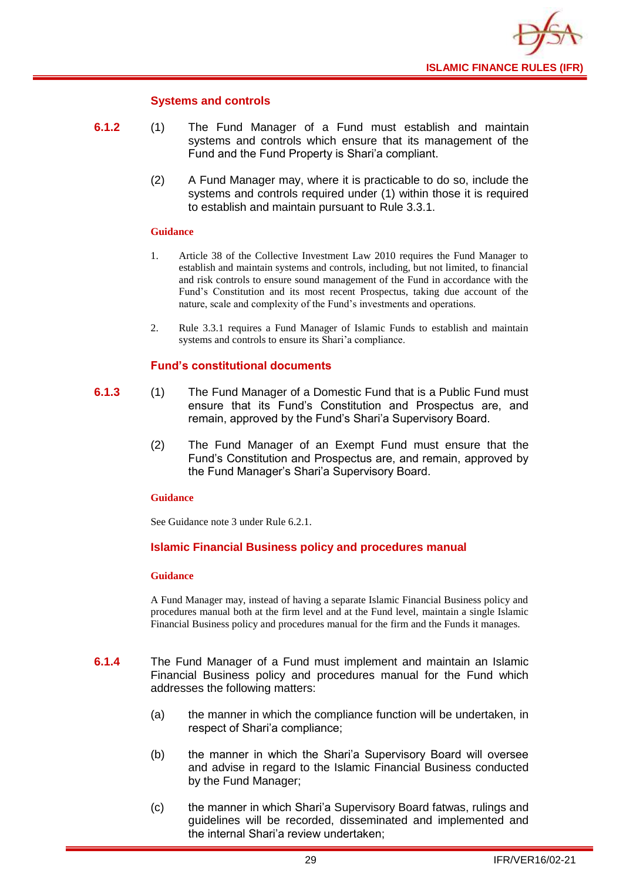![](_page_31_Picture_0.jpeg)

#### **Systems and controls**

- **6.1.2** (1) The Fund Manager of a Fund must establish and maintain systems and controls which ensure that its management of the Fund and the Fund Property is Shari'a compliant.
	- (2) A Fund Manager may, where it is practicable to do so, include the systems and controls required under (1) within those it is required to establish and maintain pursuant to Rule 3.3.1.

#### **Guidance**

- 1. Article 38 of the Collective Investment Law 2010 requires the Fund Manager to establish and maintain systems and controls, including, but not limited, to financial and risk controls to ensure sound management of the Fund in accordance with the Fund's Constitution and its most recent Prospectus, taking due account of the nature, scale and complexity of the Fund's investments and operations.
- 2. Rule 3.3.1 requires a Fund Manager of Islamic Funds to establish and maintain systems and controls to ensure its Shari'a compliance.

#### **Fund's constitutional documents**

- **6.1.3** (1) The Fund Manager of a Domestic Fund that is a Public Fund must ensure that its Fund's Constitution and Prospectus are, and remain, approved by the Fund's Shari'a Supervisory Board.
	- (2) The Fund Manager of an Exempt Fund must ensure that the Fund's Constitution and Prospectus are, and remain, approved by the Fund Manager's Shari'a Supervisory Board.

#### **Guidance**

See Guidance note 3 under Rule 6.2.1.

#### **Islamic Financial Business policy and procedures manual**

#### **Guidance**

A Fund Manager may, instead of having a separate Islamic Financial Business policy and procedures manual both at the firm level and at the Fund level, maintain a single Islamic Financial Business policy and procedures manual for the firm and the Funds it manages.

- **6.1.4** The Fund Manager of a Fund must implement and maintain an Islamic Financial Business policy and procedures manual for the Fund which addresses the following matters:
	- (a) the manner in which the compliance function will be undertaken, in respect of Shari'a compliance;
	- (b) the manner in which the Shari'a Supervisory Board will oversee and advise in regard to the Islamic Financial Business conducted by the Fund Manager;
	- (c) the manner in which Shari'a Supervisory Board fatwas, rulings and guidelines will be recorded, disseminated and implemented and the internal Shari'a review undertaken;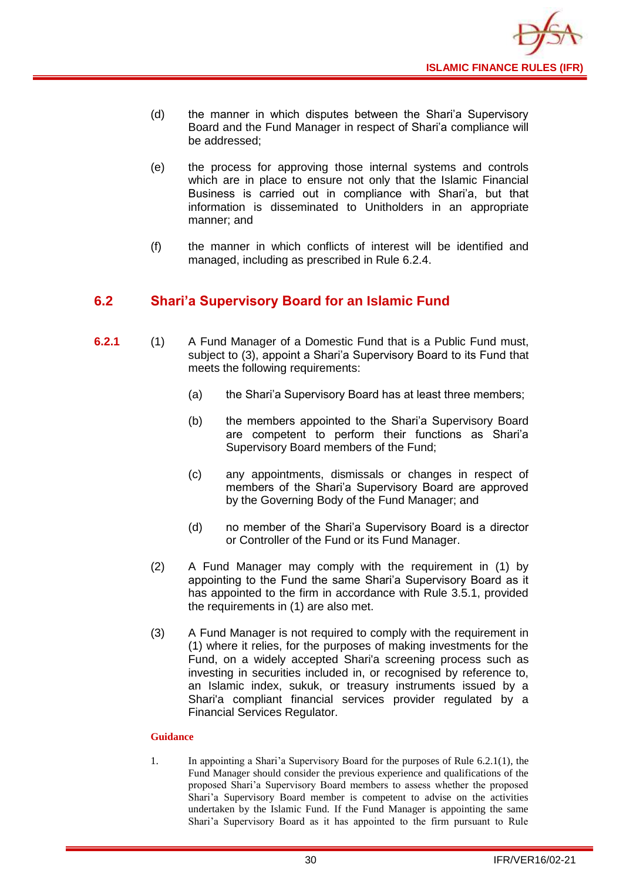![](_page_32_Picture_0.jpeg)

- (d) the manner in which disputes between the Shari'a Supervisory Board and the Fund Manager in respect of Shari'a compliance will be addressed;
- (e) the process for approving those internal systems and controls which are in place to ensure not only that the Islamic Financial Business is carried out in compliance with Shari'a, but that information is disseminated to Unitholders in an appropriate manner; and
- (f) the manner in which conflicts of interest will be identified and managed, including as prescribed in Rule 6.2.4.

## <span id="page-32-0"></span>**6.2 Shari'a Supervisory Board for an Islamic Fund**

- **6.2.1** (1) A Fund Manager of a Domestic Fund that is a Public Fund must, subject to (3), appoint a Shari'a Supervisory Board to its Fund that meets the following requirements:
	- (a) the Shari'a Supervisory Board has at least three members;
	- (b) the members appointed to the Shari'a Supervisory Board are competent to perform their functions as Shari'a Supervisory Board members of the Fund;
	- (c) any appointments, dismissals or changes in respect of members of the Shari'a Supervisory Board are approved by the Governing Body of the Fund Manager; and
	- (d) no member of the Shari'a Supervisory Board is a director or Controller of the Fund or its Fund Manager.
	- (2) A Fund Manager may comply with the requirement in (1) by appointing to the Fund the same Shari'a Supervisory Board as it has appointed to the firm in accordance with Rule 3.5.1, provided the requirements in (1) are also met.
	- (3) A Fund Manager is not required to comply with the requirement in (1) where it relies, for the purposes of making investments for the Fund, on a widely accepted Shari'a screening process such as investing in securities included in, or recognised by reference to, an Islamic index, sukuk, or treasury instruments issued by a Shari'a compliant financial services provider regulated by a Financial Services Regulator.

#### **Guidance**

1. In appointing a Shari'a Supervisory Board for the purposes of Rule 6.2.1(1), the Fund Manager should consider the previous experience and qualifications of the proposed Shari'a Supervisory Board members to assess whether the proposed Shari'a Supervisory Board member is competent to advise on the activities undertaken by the Islamic Fund. If the Fund Manager is appointing the same Shari'a Supervisory Board as it has appointed to the firm pursuant to Rule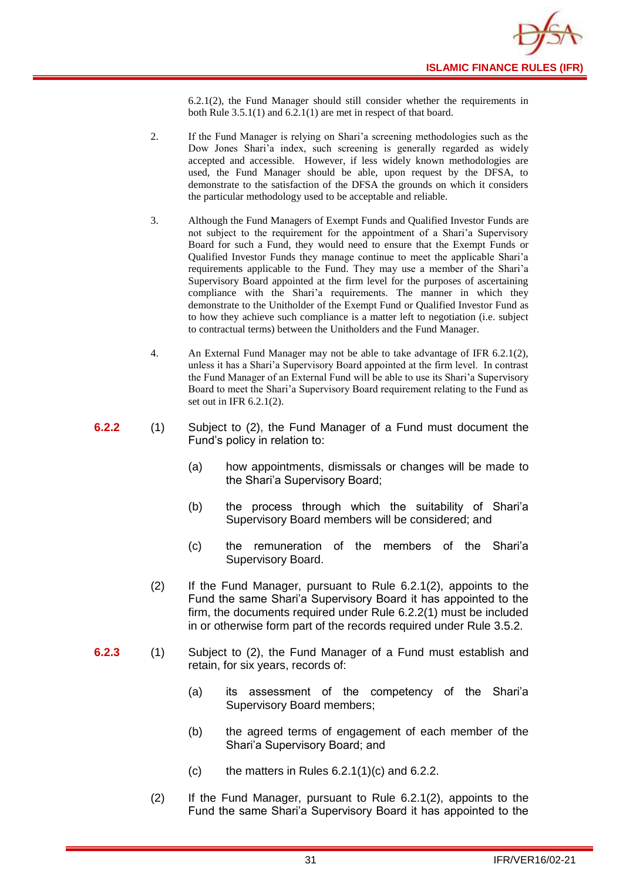![](_page_33_Picture_0.jpeg)

6.2.1(2), the Fund Manager should still consider whether the requirements in both Rule 3.5.1(1) and 6.2.1(1) are met in respect of that board.

- 2. If the Fund Manager is relying on Shari'a screening methodologies such as the Dow Jones Shari'a index, such screening is generally regarded as widely accepted and accessible. However, if less widely known methodologies are used, the Fund Manager should be able, upon request by the DFSA, to demonstrate to the satisfaction of the DFSA the grounds on which it considers the particular methodology used to be acceptable and reliable.
- 3. Although the Fund Managers of Exempt Funds and Qualified Investor Funds are not subject to the requirement for the appointment of a Shari'a Supervisory Board for such a Fund, they would need to ensure that the Exempt Funds or Qualified Investor Funds they manage continue to meet the applicable Shari'a requirements applicable to the Fund. They may use a member of the Shari'a Supervisory Board appointed at the firm level for the purposes of ascertaining compliance with the Shari'a requirements. The manner in which they demonstrate to the Unitholder of the Exempt Fund or Qualified Investor Fund as to how they achieve such compliance is a matter left to negotiation (i.e. subject to contractual terms) between the Unitholders and the Fund Manager.
- 4. An External Fund Manager may not be able to take advantage of IFR 6.2.1(2), unless it has a Shari'a Supervisory Board appointed at the firm level. In contrast the Fund Manager of an External Fund will be able to use its Shari'a Supervisory Board to meet the Shari'a Supervisory Board requirement relating to the Fund as set out in IFR 6.2.1(2).
- **6.2.2** (1) Subject to (2), the Fund Manager of a Fund must document the Fund's policy in relation to:
	- (a) how appointments, dismissals or changes will be made to the Shari'a Supervisory Board;
	- (b) the process through which the suitability of Shari'a Supervisory Board members will be considered; and
	- (c) the remuneration of the members of the Shari'a Supervisory Board.
	- (2) If the Fund Manager, pursuant to Rule 6.2.1(2), appoints to the Fund the same Shari'a Supervisory Board it has appointed to the firm, the documents required under Rule 6.2.2(1) must be included in or otherwise form part of the records required under Rule 3.5.2.
- **6.2.3** (1) Subject to (2), the Fund Manager of a Fund must establish and retain, for six years, records of:
	- (a) its assessment of the competency of the Shari'a Supervisory Board members;
	- (b) the agreed terms of engagement of each member of the Shari'a Supervisory Board; and
	- $(c)$  the matters in Rules 6.2.1(1)(c) and 6.2.2.
	- (2) If the Fund Manager, pursuant to Rule 6.2.1(2), appoints to the Fund the same Shari'a Supervisory Board it has appointed to the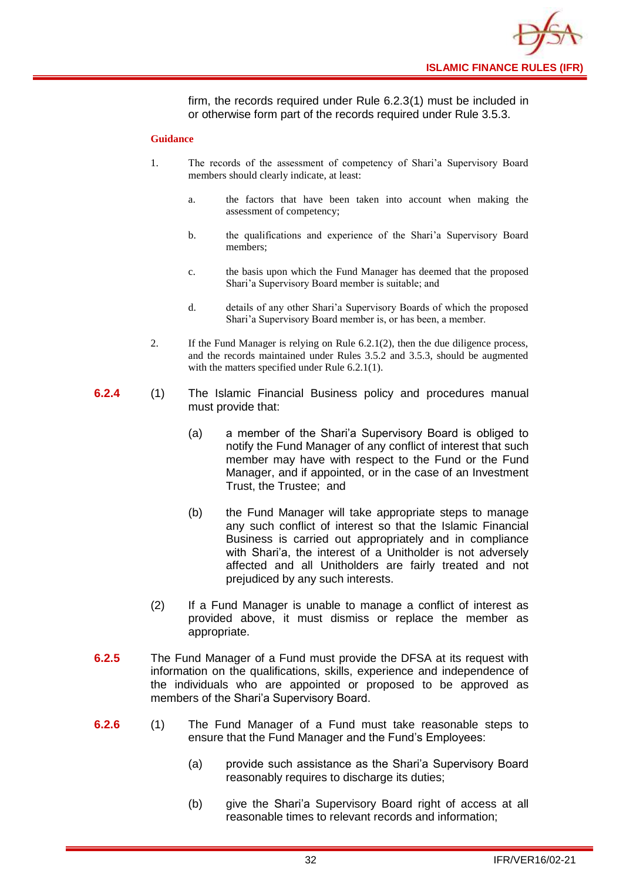![](_page_34_Picture_0.jpeg)

firm, the records required under Rule 6.2.3(1) must be included in or otherwise form part of the records required under Rule 3.5.3.

- 1. The records of the assessment of competency of Shari'a Supervisory Board members should clearly indicate, at least:
	- a. the factors that have been taken into account when making the assessment of competency;
	- b. the qualifications and experience of the Shari'a Supervisory Board members;
	- c. the basis upon which the Fund Manager has deemed that the proposed Shari'a Supervisory Board member is suitable; and
	- d. details of any other Shari'a Supervisory Boards of which the proposed Shari'a Supervisory Board member is, or has been, a member.
- 2. If the Fund Manager is relying on Rule 6.2.1(2), then the due diligence process, and the records maintained under Rules 3.5.2 and 3.5.3, should be augmented with the matters specified under Rule 6.2.1(1).
- **6.2.4** (1) The Islamic Financial Business policy and procedures manual must provide that:
	- (a) a member of the Shari'a Supervisory Board is obliged to notify the Fund Manager of any conflict of interest that such member may have with respect to the Fund or the Fund Manager, and if appointed, or in the case of an Investment Trust, the Trustee; and
	- (b) the Fund Manager will take appropriate steps to manage any such conflict of interest so that the Islamic Financial Business is carried out appropriately and in compliance with Shari'a, the interest of a Unitholder is not adversely affected and all Unitholders are fairly treated and not prejudiced by any such interests.
	- (2) If a Fund Manager is unable to manage a conflict of interest as provided above, it must dismiss or replace the member as appropriate.
- **6.2.5** The Fund Manager of a Fund must provide the DFSA at its request with information on the qualifications, skills, experience and independence of the individuals who are appointed or proposed to be approved as members of the Shari'a Supervisory Board.
- **6.2.6** (1) The Fund Manager of a Fund must take reasonable steps to ensure that the Fund Manager and the Fund's Employees:
	- (a) provide such assistance as the Shari'a Supervisory Board reasonably requires to discharge its duties;
	- (b) give the Shari'a Supervisory Board right of access at all reasonable times to relevant records and information;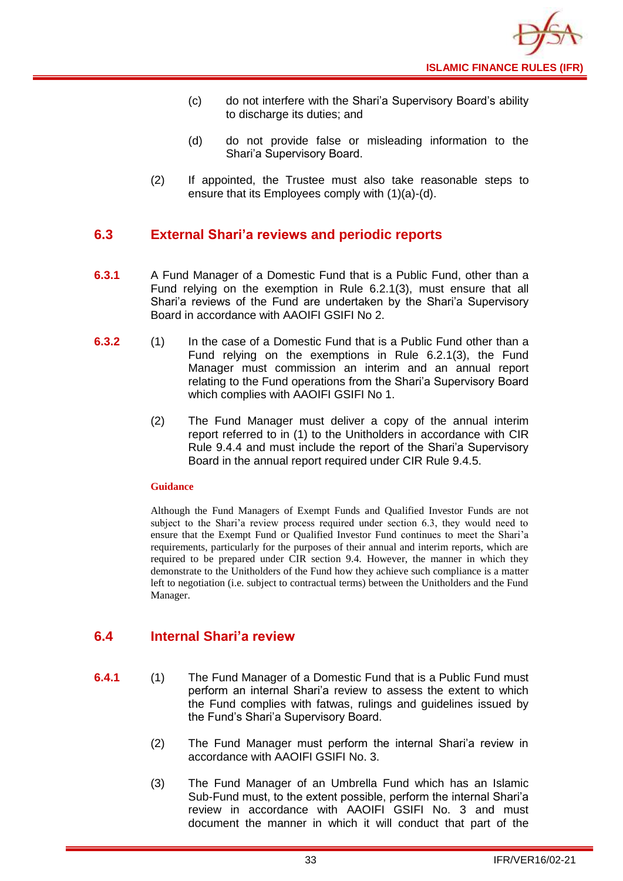- (c) do not interfere with the Shari'a Supervisory Board's ability to discharge its duties; and
- (d) do not provide false or misleading information to the Shari'a Supervisory Board.
- (2) If appointed, the Trustee must also take reasonable steps to ensure that its Employees comply with (1)(a)-(d).

## <span id="page-35-0"></span>**6.3 External Shari'a reviews and periodic reports**

- **6.3.1** A Fund Manager of a Domestic Fund that is a Public Fund, other than a Fund relying on the exemption in Rule 6.2.1(3), must ensure that all Shari'a reviews of the Fund are undertaken by the Shari'a Supervisory Board in accordance with AAOIFI GSIFI No 2.
- **6.3.2** (1) In the case of a Domestic Fund that is a Public Fund other than a Fund relying on the exemptions in Rule 6.2.1(3), the Fund Manager must commission an interim and an annual report relating to the Fund operations from the Shari'a Supervisory Board which complies with AAOIFI GSIFI No 1.
	- (2) The Fund Manager must deliver a copy of the annual interim report referred to in (1) to the Unitholders in accordance with CIR Rule 9.4.4 and must include the report of the Shari'a Supervisory Board in the annual report required under CIR Rule 9.4.5.

#### **Guidance**

Although the Fund Managers of Exempt Funds and Qualified Investor Funds are not subject to the Shari'a review process required under section 6.3, they would need to ensure that the Exempt Fund or Qualified Investor Fund continues to meet the Shari'a requirements, particularly for the purposes of their annual and interim reports, which are required to be prepared under CIR section 9.4. However, the manner in which they demonstrate to the Unitholders of the Fund how they achieve such compliance is a matter left to negotiation (i.e. subject to contractual terms) between the Unitholders and the Fund Manager.

## <span id="page-35-1"></span>**6.4 Internal Shari'a review**

- **6.4.1** (1) The Fund Manager of a Domestic Fund that is a Public Fund must perform an internal Shari'a review to assess the extent to which the Fund complies with fatwas, rulings and guidelines issued by the Fund's Shari'a Supervisory Board.
	- (2) The Fund Manager must perform the internal Shari'a review in accordance with AAOIFI GSIFI No. 3.
	- (3) The Fund Manager of an Umbrella Fund which has an Islamic Sub-Fund must, to the extent possible, perform the internal Shari'a review in accordance with AAOIFI GSIFI No. 3 and must document the manner in which it will conduct that part of the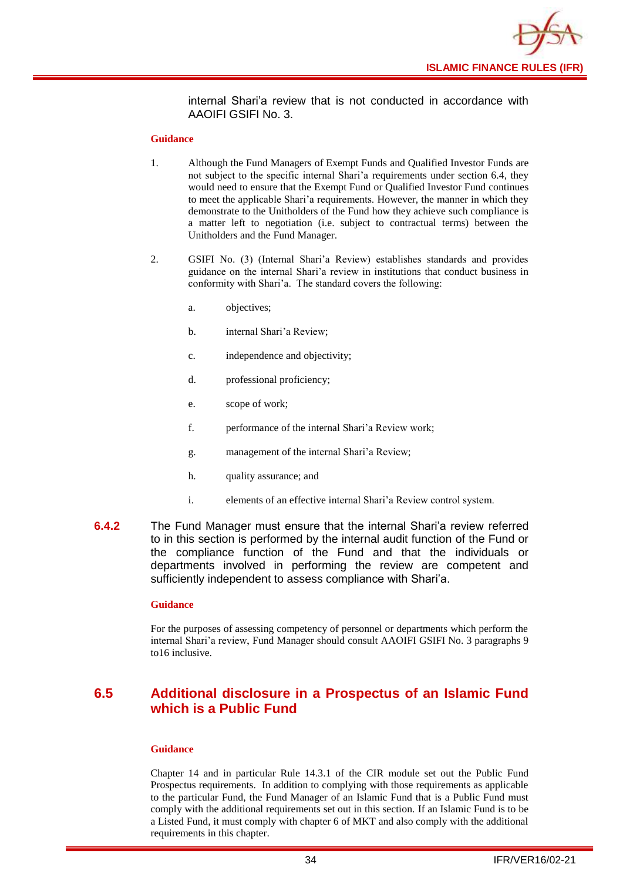![](_page_36_Picture_0.jpeg)

internal Shari'a review that is not conducted in accordance with AAOIFI GSIFI No. 3.

#### **Guidance**

- 1. Although the Fund Managers of Exempt Funds and Qualified Investor Funds are not subject to the specific internal Shari'a requirements under section 6.4, they would need to ensure that the Exempt Fund or Qualified Investor Fund continues to meet the applicable Shari'a requirements. However, the manner in which they demonstrate to the Unitholders of the Fund how they achieve such compliance is a matter left to negotiation (i.e. subject to contractual terms) between the Unitholders and the Fund Manager.
- 2. GSIFI No. (3) (Internal Shari'a Review) establishes standards and provides guidance on the internal Shari'a review in institutions that conduct business in conformity with Shari'a. The standard covers the following:
	- a. objectives;
	- b. internal Shari'a Review;
	- c. independence and objectivity;
	- d. professional proficiency;
	- e. scope of work;
	- f. performance of the internal Shari'a Review work;
	- g. management of the internal Shari'a Review;
	- h. quality assurance; and
	- i. elements of an effective internal Shari'a Review control system.
- **6.4.2** The Fund Manager must ensure that the internal Shari'a review referred to in this section is performed by the internal audit function of the Fund or the compliance function of the Fund and that the individuals or departments involved in performing the review are competent and sufficiently independent to assess compliance with Shari'a.

#### **Guidance**

For the purposes of assessing competency of personnel or departments which perform the internal Shari'a review, Fund Manager should consult AAOIFI GSIFI No. 3 paragraphs 9 to16 inclusive.

## <span id="page-36-0"></span>**6.5 Additional disclosure in a Prospectus of an Islamic Fund which is a Public Fund**

#### **Guidance**

Chapter 14 and in particular Rule 14.3.1 of the CIR module set out the Public Fund Prospectus requirements. In addition to complying with those requirements as applicable to the particular Fund, the Fund Manager of an Islamic Fund that is a Public Fund must comply with the additional requirements set out in this section. If an Islamic Fund is to be a Listed Fund, it must comply with chapter 6 of MKT and also comply with the additional requirements in this chapter.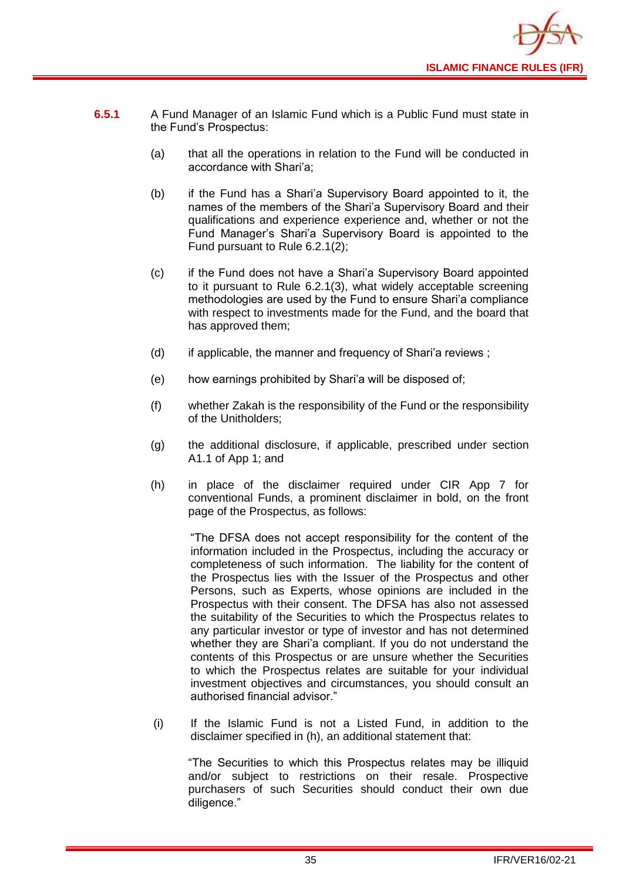![](_page_37_Picture_0.jpeg)

- **6.5.1** A Fund Manager of an Islamic Fund which is a Public Fund must state in the Fund's Prospectus:
	- (a) that all the operations in relation to the Fund will be conducted in accordance with Shari'a;
	- (b) if the Fund has a Shari'a Supervisory Board appointed to it, the names of the members of the Shari'a Supervisory Board and their qualifications and experience experience and, whether or not the Fund Manager's Shari'a Supervisory Board is appointed to the Fund pursuant to Rule 6.2.1(2);
	- (c) if the Fund does not have a Shari'a Supervisory Board appointed to it pursuant to Rule 6.2.1(3), what widely acceptable screening methodologies are used by the Fund to ensure Shari'a compliance with respect to investments made for the Fund, and the board that has approved them;
	- (d) if applicable, the manner and frequency of Shari'a reviews ;
	- (e) how earnings prohibited by Shari'a will be disposed of;
	- (f) whether Zakah is the responsibility of the Fund or the responsibility of the Unitholders;
	- (g) the additional disclosure, if applicable, prescribed under section A1.1 of App 1; and
	- (h) in place of the disclaimer required under CIR App 7 for conventional Funds, a prominent disclaimer in bold, on the front page of the Prospectus, as follows:

"The DFSA does not accept responsibility for the content of the information included in the Prospectus, including the accuracy or completeness of such information. The liability for the content of the Prospectus lies with the Issuer of the Prospectus and other Persons, such as Experts, whose opinions are included in the Prospectus with their consent. The DFSA has also not assessed the suitability of the Securities to which the Prospectus relates to any particular investor or type of investor and has not determined whether they are Shari'a compliant. If you do not understand the contents of this Prospectus or are unsure whether the Securities to which the Prospectus relates are suitable for your individual investment objectives and circumstances, you should consult an authorised financial advisor."

(i) If the Islamic Fund is not a Listed Fund, in addition to the disclaimer specified in (h), an additional statement that:

"The Securities to which this Prospectus relates may be illiquid and/or subject to restrictions on their resale. Prospective purchasers of such Securities should conduct their own due diligence."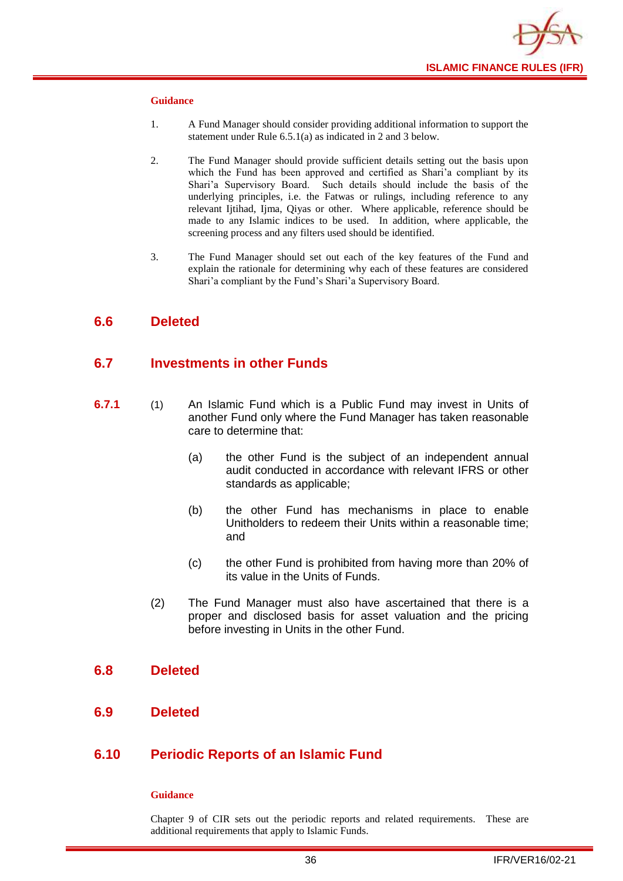![](_page_38_Picture_0.jpeg)

#### **Guidance**

- 1. A Fund Manager should consider providing additional information to support the statement under Rule 6.5.1(a) as indicated in 2 and 3 below.
- 2. The Fund Manager should provide sufficient details setting out the basis upon which the Fund has been approved and certified as Shari'a compliant by its Shari'a Supervisory Board. Such details should include the basis of the underlying principles, i.e. the Fatwas or rulings, including reference to any relevant Ijtihad, Ijma, Qiyas or other. Where applicable, reference should be made to any Islamic indices to be used. In addition, where applicable, the screening process and any filters used should be identified.
- 3. The Fund Manager should set out each of the key features of the Fund and explain the rationale for determining why each of these features are considered Shari'a compliant by the Fund's Shari'a Supervisory Board.

## <span id="page-38-0"></span>**6.6 Deleted**

## <span id="page-38-1"></span>**6.7 Investments in other Funds**

- **6.7.1** (1) An Islamic Fund which is a Public Fund may invest in Units of another [Fund](http://fsahandbook.info/FSA/glossary.jsp?doc=glossary/glossary&gloss=G1043#G1043) only where the Fund Manager has taken reasonable care to determine that:
	- (a) the other Fund is the subject of an independent annual audit conducted in accordance with relevant IFRS or other standards as applicable;
	- (b) the other Fund has mechanisms in place to enable [Unitholders](http://fsahandbook.info/FSA/glossary.jsp?doc=glossary/glossary&gloss=G1233#G1233) to redeem their [Units](http://fsahandbook.info/FSA/glossary.jsp?doc=glossary/glossary&gloss=G1230#G1230) within a reasonable time; and
	- (c) the other Fund is prohibited from having more than 20% of its value in the [Units](http://fsahandbook.info/FSA/glossary.jsp?doc=glossary/glossary&gloss=G1230#G1230) of Funds.
	- (2) The Fund Manager must also have ascertained that there is a proper and disclosed basis for asset valuation and the pricing before investing in [Units](http://fsahandbook.info/FSA/glossary.jsp?doc=glossary/glossary&gloss=G1230#G1230) in the other [Fund.](http://fsahandbook.info/FSA/glossary.jsp?doc=glossary/glossary&gloss=G1043#G1043)

#### <span id="page-38-2"></span>**6.8 Deleted**

<span id="page-38-3"></span>**6.9 Deleted**

## <span id="page-38-4"></span>**6.10 Periodic Reports of an Islamic Fund**

#### **Guidance**

Chapter 9 of CIR sets out the periodic reports and related requirements. These are additional requirements that apply to Islamic Funds.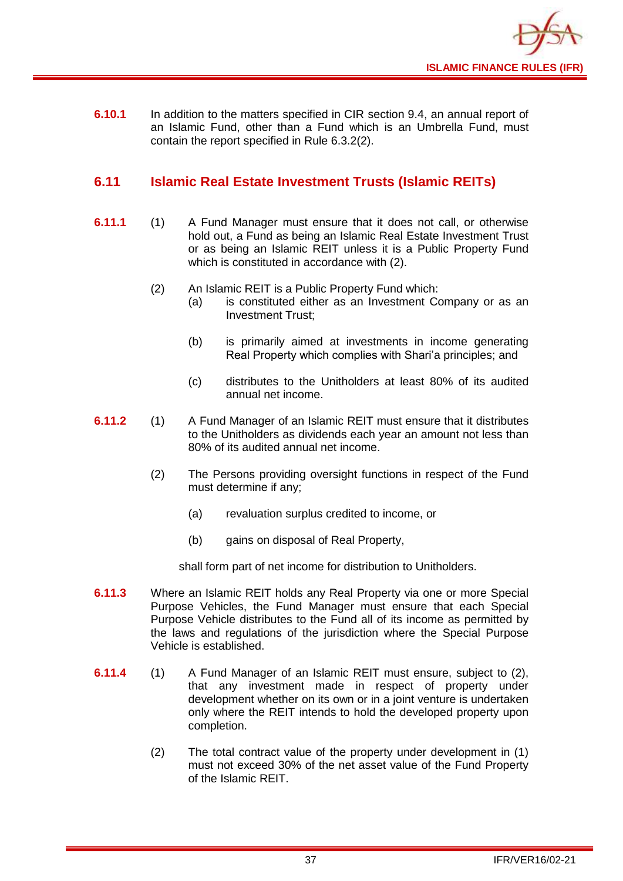![](_page_39_Picture_0.jpeg)

**6.10.1** In addition to the matters specified in CIR section 9.4, an annual report of an Islamic Fund, other than a Fund which is an [Umbrella](http://fsahandbook.info/FSA/glossary-html/handbook/Glossary/U?definition=G1222) Fund, must contain the report specified in Rule 6.3.2(2).

## <span id="page-39-0"></span>**6.11 Islamic Real Estate Investment Trusts (Islamic REITs)**

- **6.11.1** (1) A Fund Manager must ensure that it does not call, or otherwise hold out, a Fund as being an Islamic Real Estate Investment Trust or as being an Islamic REIT unless it is a Public Property Fund which is constituted in accordance with (2).
	- (2) An Islamic REIT is a Public Property Fund which:
		- (a) is constituted either as an Investment Company or as an Investment Trust;
		- (b) is primarily aimed at investments in income generating Real Property which complies with Shari'a principles; and
		- (c) distributes to the Unitholders at least 80% of its audited annual net income.
- **6.11.2** (1) A Fund Manager of an Islamic REIT must ensure that it distributes to the Unitholders as dividends each year an amount not less than 80% of its audited annual net income.
	- (2) The Persons providing oversight functions in respect of the Fund must determine if any;
		- (a) revaluation surplus credited to income, or
		- (b) gains on disposal of Real Property,

shall form part of net income for distribution to Unitholders.

- **6.11.3** Where an Islamic REIT holds any Real Property via one or more Special Purpose Vehicles, the Fund Manager must ensure that each Special Purpose Vehicle distributes to the Fund all of its income as permitted by the laws and regulations of the jurisdiction where the Special Purpose Vehicle is established.
- **6.11.4** (1) A Fund Manager of an Islamic REIT must ensure, subject to (2), that any investment made in respect of property under development whether on its own or in a joint venture is undertaken only where the REIT intends to hold the developed property upon completion.
	- (2) The total contract value of the property under development in (1) must not exceed 30% of the net asset value of the Fund Property of the Islamic REIT.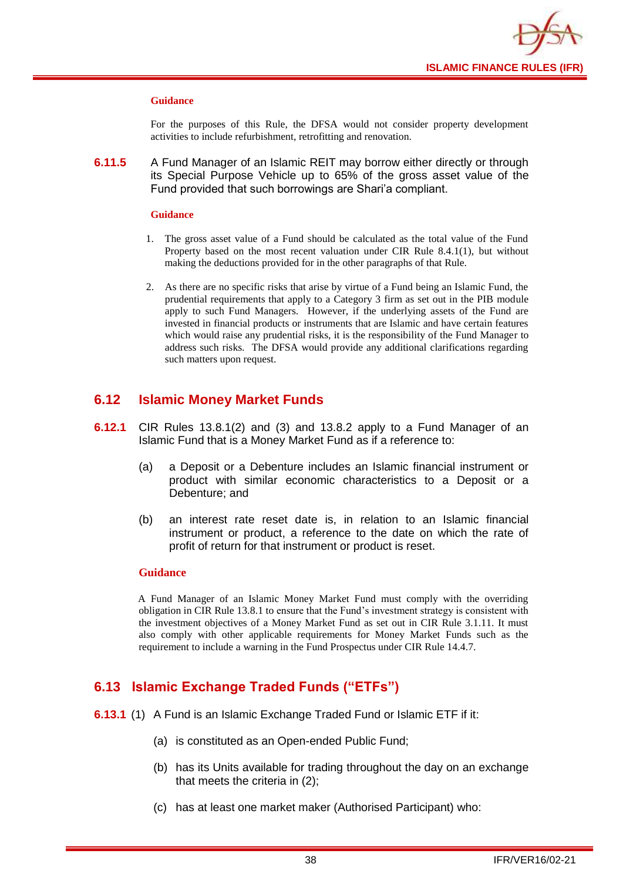![](_page_40_Picture_0.jpeg)

#### **Guidance**

For the purposes of this Rule, the DFSA would not consider property development activities to include refurbishment, retrofitting and renovation.

**6.11.5** A Fund Manager of an Islamic REIT may borrow either directly or through its Special Purpose Vehicle up to 65% of the gross asset value of the Fund provided that such borrowings are Shari'a compliant.

#### **Guidance**

- 1. The gross asset value of a Fund should be calculated as the total value of the Fund Property based on the most recent valuation under CIR Rule 8.4.1(1), but without making the deductions provided for in the other paragraphs of that Rule.
- 2. As there are no specific risks that arise by virtue of a Fund being an Islamic Fund, the prudential requirements that apply to a Category 3 firm as set out in the PIB module apply to such Fund Managers. However, if the underlying assets of the Fund are invested in financial products or instruments that are Islamic and have certain features which would raise any prudential risks, it is the responsibility of the Fund Manager to address such risks. The DFSA would provide any additional clarifications regarding such matters upon request.

## <span id="page-40-0"></span>**6.12 Islamic Money Market Funds**

- **6.12.1** CIR Rules 13.8.1(2) and (3) and 13.8.2 apply to a Fund Manager of an Islamic Fund that is a Money Market Fund as if a reference to:
	- (a) a Deposit or a Debenture includes an Islamic financial instrument or product with similar economic characteristics to a Deposit or a Debenture; and
	- (b) an interest rate reset date is, in relation to an Islamic financial instrument or product, a reference to the date on which the rate of profit of return for that instrument or product is reset.

#### **Guidance**

A Fund Manager of an Islamic Money Market Fund must comply with the overriding obligation in CIR Rule 13.8.1 to ensure that the Fund's investment strategy is consistent with the investment objectives of a Money Market Fund as set out in CIR Rule 3.1.11. It must also comply with other applicable requirements for Money Market Funds such as the requirement to include a warning in the Fund Prospectus under CIR Rule 14.4.7.

## <span id="page-40-1"></span>**6.13 Islamic Exchange Traded Funds ("ETFs")**

- **6.13.1** (1) A Fund is an Islamic Exchange Traded Fund or Islamic ETF if it:
	- (a) is constituted as an Open-ended Public Fund;
	- (b) has its Units available for trading throughout the day on an exchange that meets the criteria in (2);
	- (c) has at least one market maker (Authorised Participant) who: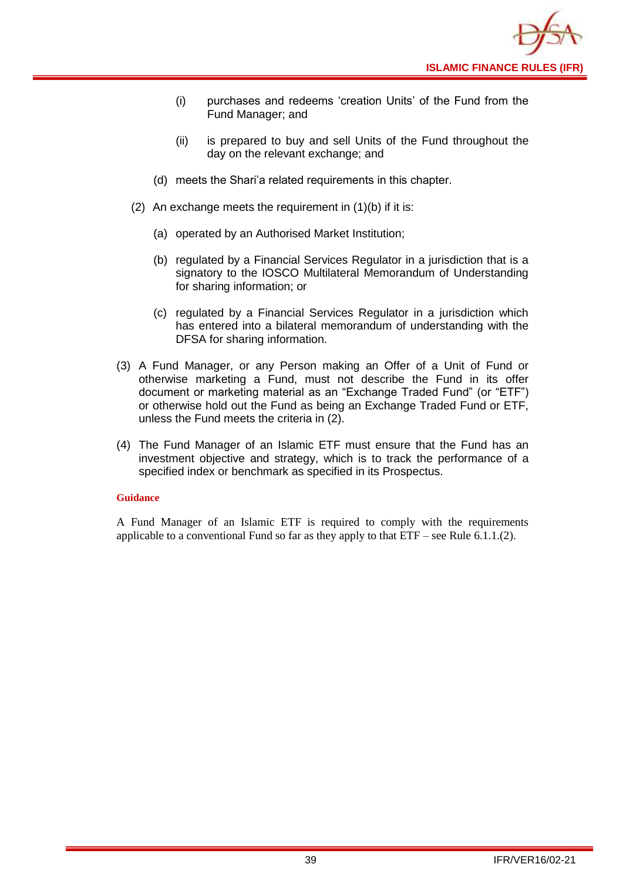![](_page_41_Picture_0.jpeg)

- (i) purchases and redeems 'creation Units' of the Fund from the Fund Manager; and
- (ii) is prepared to buy and sell Units of the Fund throughout the day on the relevant exchange; and
- (d) meets the Shari'a related requirements in this chapter.
- (2) An exchange meets the requirement in (1)(b) if it is:
	- (a) operated by an Authorised Market Institution;
	- (b) regulated by a Financial Services Regulator in a jurisdiction that is a signatory to the IOSCO Multilateral Memorandum of Understanding for sharing information; or
	- (c) regulated by a Financial Services Regulator in a jurisdiction which has entered into a bilateral memorandum of understanding with the DFSA for sharing information.
- (3) A Fund Manager, or any Person making an Offer of a Unit of Fund or otherwise marketing a Fund, must not describe the Fund in its offer document or marketing material as an "Exchange Traded Fund" (or "ETF") or otherwise hold out the Fund as being an Exchange Traded Fund or ETF, unless the Fund meets the criteria in (2).
- (4) The Fund Manager of an Islamic ETF must ensure that the Fund has an investment objective and strategy, which is to track the performance of a specified index or benchmark as specified in its Prospectus.

#### **Guidance**

A Fund Manager of an Islamic ETF is required to comply with the requirements applicable to a conventional Fund so far as they apply to that  $ETF$  – see Rule 6.1.1.(2).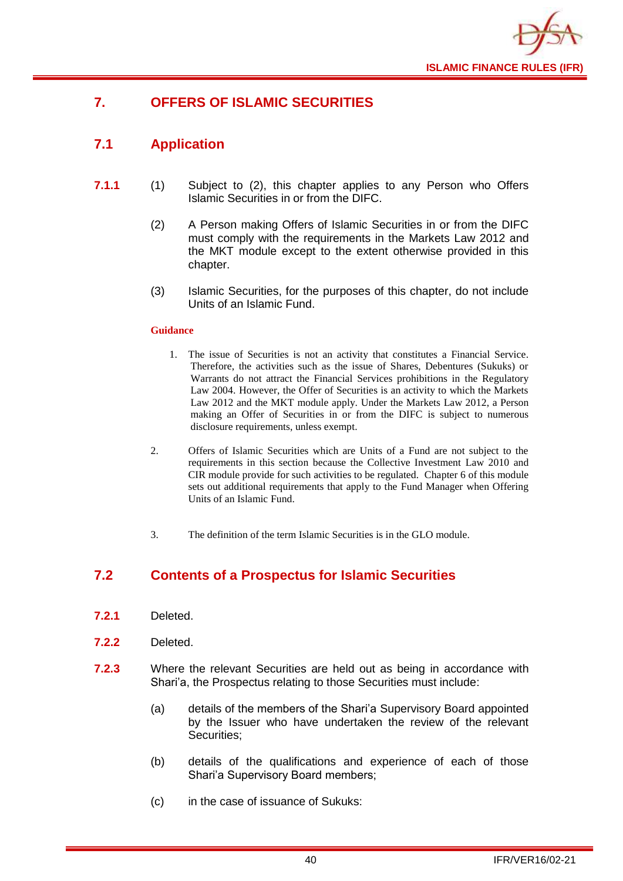![](_page_42_Picture_0.jpeg)

## <span id="page-42-0"></span>**7. OFFERS OF ISLAMIC SECURITIES**

## <span id="page-42-1"></span>**7.1 Application**

- **7.1.1** (1) Subject to (2), this chapter applies to any Person who Offers Islamic Securities in or from the DIFC.
	- (2) A Person making Offers of Islamic Securities in or from the DIFC must comply with the requirements in the Markets Law 2012 and the MKT module except to the extent otherwise provided in this chapter.
	- (3) Islamic Securities, for the purposes of this chapter, do not include Units of an Islamic Fund.

#### **Guidance**

- 1. The issue of Securities is not an activity that constitutes a Financial Service. Therefore, the activities such as the issue of Shares, Debentures (Sukuks) or Warrants do not attract the Financial Services prohibitions in the Regulatory Law 2004. However, the Offer of Securities is an activity to which the Markets Law 2012 and the MKT module apply. Under the Markets Law 2012, a Person making an Offer of Securities in or from the DIFC is subject to numerous disclosure requirements, unless exempt.
- 2. Offers of Islamic Securities which are Units of a Fund are not subject to the requirements in this section because the Collective Investment Law 2010 and CIR module provide for such activities to be regulated. Chapter 6 of this module sets out additional requirements that apply to the Fund Manager when Offering Units of an Islamic Fund.
- 3. The definition of the term Islamic Securities is in the GLO module.

## <span id="page-42-2"></span>**7.2 Contents of a Prospectus for Islamic Securities**

- **7.2.1** Deleted.
- **7.2.2** Deleted.
- **7.2.3** Where the relevant Securities are held out as being in accordance with Shari'a, the Prospectus relating to those Securities must include:
	- (a) details of the members of the Shari'a Supervisory Board appointed by the Issuer who have undertaken the review of the relevant Securities;
	- (b) details of the qualifications and experience of each of those Shari'a Supervisory Board members;
	- (c) in the case of issuance of Sukuks: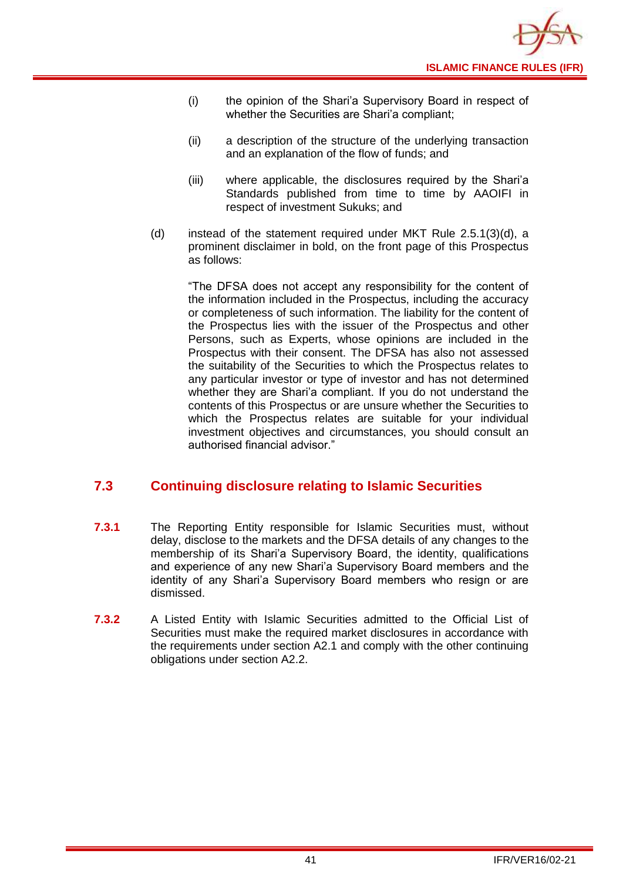- (i) the opinion of the Shari'a Supervisory Board in respect of whether the Securities are Shari'a compliant;
- (ii) a description of the structure of the underlying transaction and an explanation of the flow of funds; and
- (iii) where applicable, the disclosures required by the Shari'a Standards published from time to time by AAOIFI in respect of investment Sukuks; and
- (d) instead of the statement required under MKT Rule 2.5.1(3)(d), a prominent disclaimer in bold, on the front page of this Prospectus as follows:

"The DFSA does not accept any responsibility for the content of the information included in the Prospectus, including the accuracy or completeness of such information. The liability for the content of the Prospectus lies with the issuer of the Prospectus and other Persons, such as Experts, whose opinions are included in the Prospectus with their consent. The DFSA has also not assessed the suitability of the Securities to which the Prospectus relates to any particular investor or type of investor and has not determined whether they are Shari'a compliant. If you do not understand the contents of this Prospectus or are unsure whether the Securities to which the Prospectus relates are suitable for your individual investment objectives and circumstances, you should consult an authorised financial advisor."

## <span id="page-43-0"></span>**7.3 Continuing disclosure relating to Islamic Securities**

- **7.3.1** The Reporting Entity responsible for Islamic Securities must, without delay, disclose to the markets and the DFSA details of any changes to the membership of its Shari'a Supervisory Board, the identity, qualifications and experience of any new Shari'a Supervisory Board members and the identity of any Shari'a Supervisory Board members who resign or are dismissed.
- **7.3.2** A Listed Entity with Islamic Securities admitted to the Official List of Securities must make the required market disclosures in accordance with the requirements under section A2.1 and comply with the other continuing obligations under section A2.2.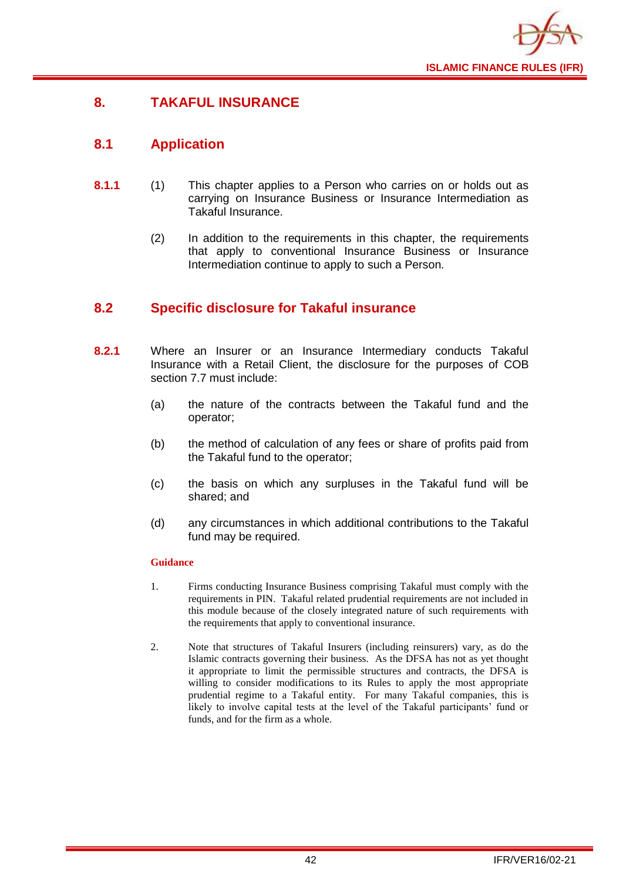![](_page_44_Picture_0.jpeg)

## <span id="page-44-0"></span>**8. TAKAFUL INSURANCE**

## <span id="page-44-1"></span>**8.1 Application**

- **8.1.1** (1) This chapter applies to a Person who carries on or holds out as carrying on Insurance Business or Insurance Intermediation as Takaful Insurance.
	- (2) In addition to the requirements in this chapter, the requirements that apply to conventional Insurance Business or Insurance Intermediation continue to apply to such a Person.

## <span id="page-44-2"></span>**8.2 Specific disclosure for Takaful insurance**

- **8.2.1** Where an Insurer or an Insurance Intermediary conducts Takaful Insurance with a Retail Client, the disclosure for the purposes of COB section 7.7 must include:
	- (a) the nature of the contracts between the Takaful fund and the operator;
	- (b) the method of calculation of any fees or share of profits paid from the Takaful fund to the operator;
	- (c) the basis on which any surpluses in the Takaful fund will be shared; and
	- (d) any circumstances in which additional contributions to the Takaful fund may be required.

- 1. Firms conducting Insurance Business comprising Takaful must comply with the requirements in PIN. Takaful related prudential requirements are not included in this module because of the closely integrated nature of such requirements with the requirements that apply to conventional insurance.
- 2. Note that structures of Takaful Insurers (including reinsurers) vary, as do the Islamic contracts governing their business. As the DFSA has not as yet thought it appropriate to limit the permissible structures and contracts, the DFSA is willing to consider modifications to its Rules to apply the most appropriate prudential regime to a Takaful entity. For many Takaful companies, this is likely to involve capital tests at the level of the Takaful participants' fund or funds, and for the firm as a whole.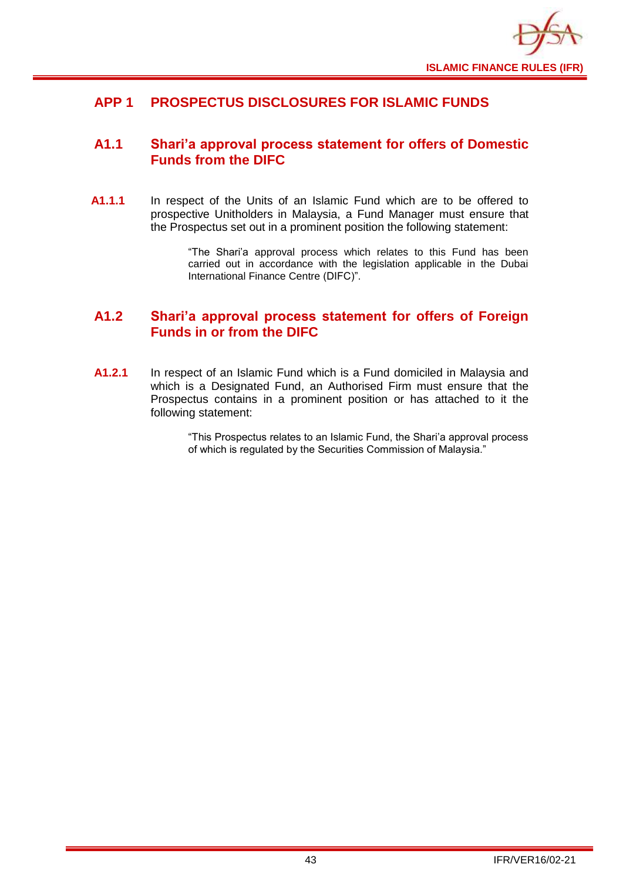![](_page_45_Picture_0.jpeg)

## <span id="page-45-0"></span>**APP 1 PROSPECTUS DISCLOSURES FOR ISLAMIC FUNDS**

## <span id="page-45-1"></span>**A1.1 Shari'a approval process statement for offers of Domestic Funds from the DIFC**

**A1.1.1** In respect of the Units of an Islamic Fund which are to be offered to prospective Unitholders in Malaysia, a Fund Manager must ensure that the Prospectus set out in a prominent position the following statement:

> "The Shari'a approval process which relates to this Fund has been carried out in accordance with the legislation applicable in the Dubai International Finance Centre (DIFC)".

## <span id="page-45-2"></span>**A1.2 Shari'a approval process statement for offers of Foreign Funds in or from the DIFC**

**A1.2.1** In respect of an Islamic Fund which is a Fund domiciled in Malaysia and which is a Designated Fund, an Authorised Firm must ensure that the Prospectus contains in a prominent position or has attached to it the following statement:

> "This Prospectus relates to an Islamic Fund, the Shari'a approval process of which is regulated by the Securities Commission of Malaysia."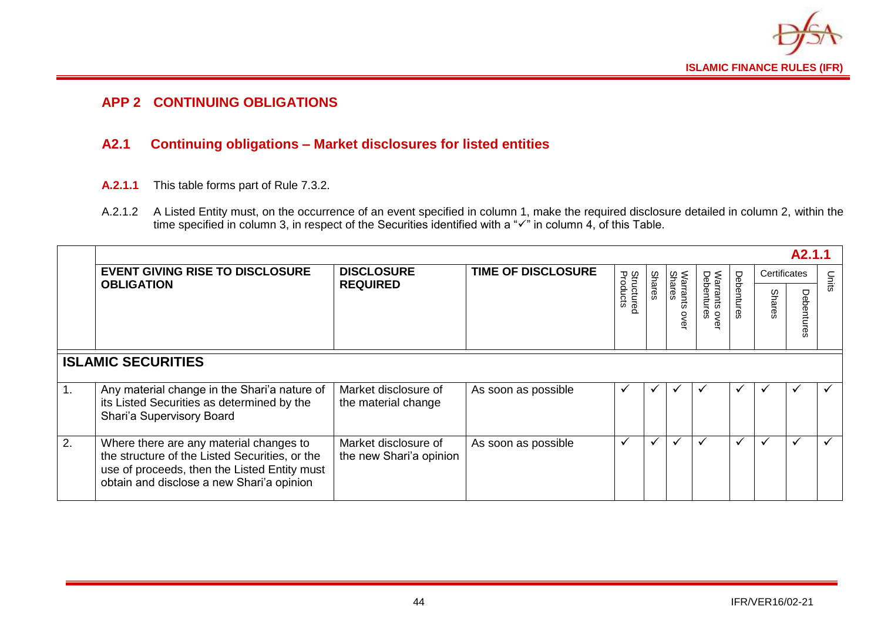![](_page_46_Picture_0.jpeg)

## **APP 2 CONTINUING OBLIGATIONS**

## **A2.1 Continuing obligations – Market disclosures for listed entities**

- **A.2.1.1** This table forms part of Rule 7.3.2.
- A.2.1.2 A Listed Entity must, on the occurrence of an event specified in column 1, make the required disclosure detailed in column 2, within the time specified in column 3, in respect of the Securities identified with a "✓" in column 4, of this Table.

<span id="page-46-1"></span><span id="page-46-0"></span>

|                  | A <sub>2.1.1</sub>                                                                                                                                                                     |                                                 |                           |                               |               |                   |                                          |            |              |              |              |  |
|------------------|----------------------------------------------------------------------------------------------------------------------------------------------------------------------------------------|-------------------------------------------------|---------------------------|-------------------------------|---------------|-------------------|------------------------------------------|------------|--------------|--------------|--------------|--|
|                  | <b>EVENT GIVING RISE TO DISCLOSURE</b>                                                                                                                                                 | <b>DISCLOSURE</b>                               | <b>TIME OF DISCLOSURE</b> |                               |               |                   |                                          |            | Certificates |              | Units        |  |
|                  | <b>OBLIGATION</b>                                                                                                                                                                      | <b>REQUIRED</b>                                 |                           | <b>Structured</b><br>Products | <b>Shares</b> | Shares<br>arrants | Warrants ov<br>Debentures<br><b>OVEL</b> | Debentures | Shares       | ヮ<br>ърс     |              |  |
|                  | <b>ISLAMIC SECURITIES</b>                                                                                                                                                              |                                                 |                           |                               |               |                   |                                          |            |              |              |              |  |
| $\overline{1}$ . | Any material change in the Shari'a nature of<br>its Listed Securities as determined by the<br>Shari'a Supervisory Board                                                                | Market disclosure of<br>the material change     | As soon as possible       | ✔                             | $\checkmark$  |                   | ັ                                        |            | ✔            | $\checkmark$ | ✔            |  |
| 2.               | Where there are any material changes to<br>the structure of the Listed Securities, or the<br>use of proceeds, then the Listed Entity must<br>obtain and disclose a new Shari'a opinion | Market disclosure of<br>the new Shari'a opinion | As soon as possible       | $\checkmark$                  | $\checkmark$  | ✔                 | ✓                                        |            | ✔            | $\checkmark$ | $\checkmark$ |  |